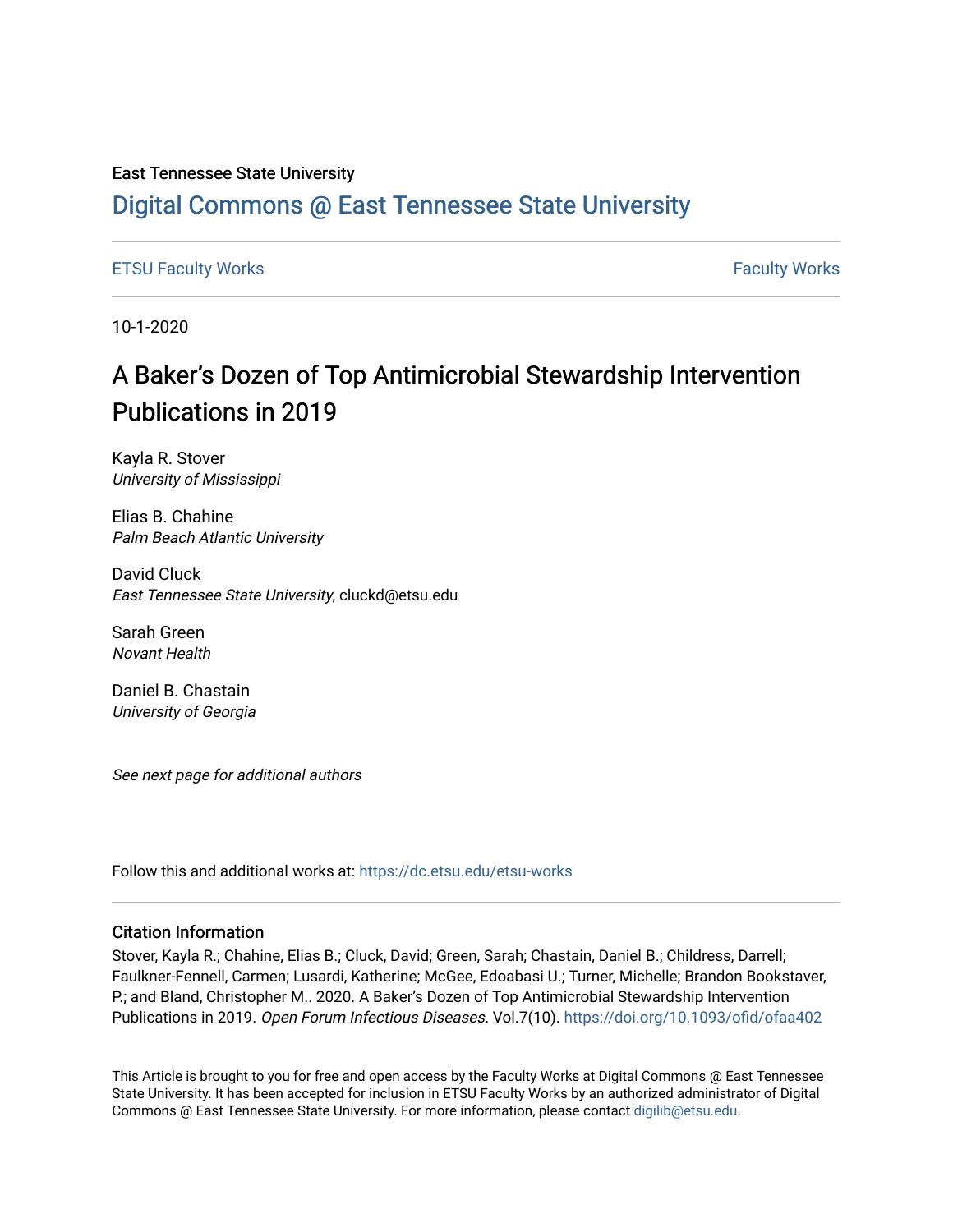#### East Tennessee State University

### [Digital Commons @ East Tennessee State University](https://dc.etsu.edu/)

[ETSU Faculty Works](https://dc.etsu.edu/etsu-works) **Faculty Works** [Faculty Works](https://dc.etsu.edu/faculty-works) **Faculty Works** 

10-1-2020

## A Baker's Dozen of Top Antimicrobial Stewardship Intervention Publications in 2019

Kayla R. Stover University of Mississippi

Elias B. Chahine Palm Beach Atlantic University

David Cluck East Tennessee State University, cluckd@etsu.edu

Sarah Green Novant Health

Daniel B. Chastain University of Georgia

See next page for additional authors

Follow this and additional works at: [https://dc.etsu.edu/etsu-works](https://dc.etsu.edu/etsu-works?utm_source=dc.etsu.edu%2Fetsu-works%2F9291&utm_medium=PDF&utm_campaign=PDFCoverPages) 

#### Citation Information

Stover, Kayla R.; Chahine, Elias B.; Cluck, David; Green, Sarah; Chastain, Daniel B.; Childress, Darrell; Faulkner-Fennell, Carmen; Lusardi, Katherine; McGee, Edoabasi U.; Turner, Michelle; Brandon Bookstaver, P.; and Bland, Christopher M.. 2020. A Baker's Dozen of Top Antimicrobial Stewardship Intervention Publications in 2019. Open Forum Infectious Diseases. Vol.7(10). <https://doi.org/10.1093/ofid/ofaa402>

This Article is brought to you for free and open access by the Faculty Works at Digital Commons @ East Tennessee State University. It has been accepted for inclusion in ETSU Faculty Works by an authorized administrator of Digital Commons @ East Tennessee State University. For more information, please contact [digilib@etsu.edu.](mailto:digilib@etsu.edu)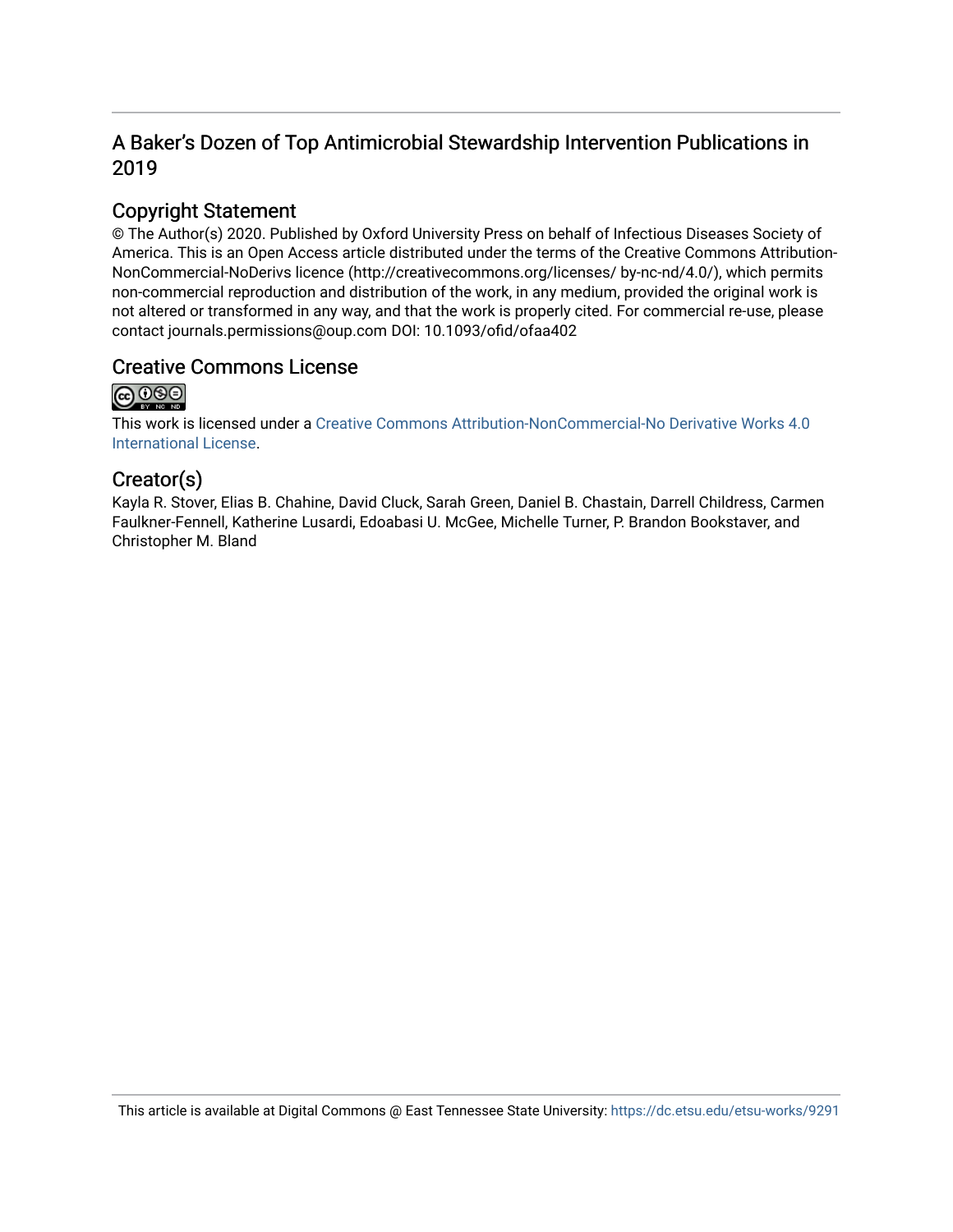### A Baker's Dozen of Top Antimicrobial Stewardship Intervention Publications in 2019

### Copyright Statement

© The Author(s) 2020. Published by Oxford University Press on behalf of Infectious Diseases Society of America. This is an Open Access article distributed under the terms of the Creative Commons Attribution-NonCommercial-NoDerivs licence (http://creativecommons.org/licenses/ by-nc-nd/4.0/), which permits non-commercial reproduction and distribution of the work, in any medium, provided the original work is not altered or transformed in any way, and that the work is properly cited. For commercial re-use, please contact journals.permissions@oup.com DOI: 10.1093/ofid/ofaa402

### Creative Commons License



This work is licensed under a [Creative Commons Attribution-NonCommercial-No Derivative Works 4.0](https://creativecommons.org/licenses/by-nc-nd/4.0/)  [International License.](https://creativecommons.org/licenses/by-nc-nd/4.0/)

### Creator(s)

Kayla R. Stover, Elias B. Chahine, David Cluck, Sarah Green, Daniel B. Chastain, Darrell Childress, Carmen Faulkner-Fennell, Katherine Lusardi, Edoabasi U. McGee, Michelle Turner, P. Brandon Bookstaver, and Christopher M. Bland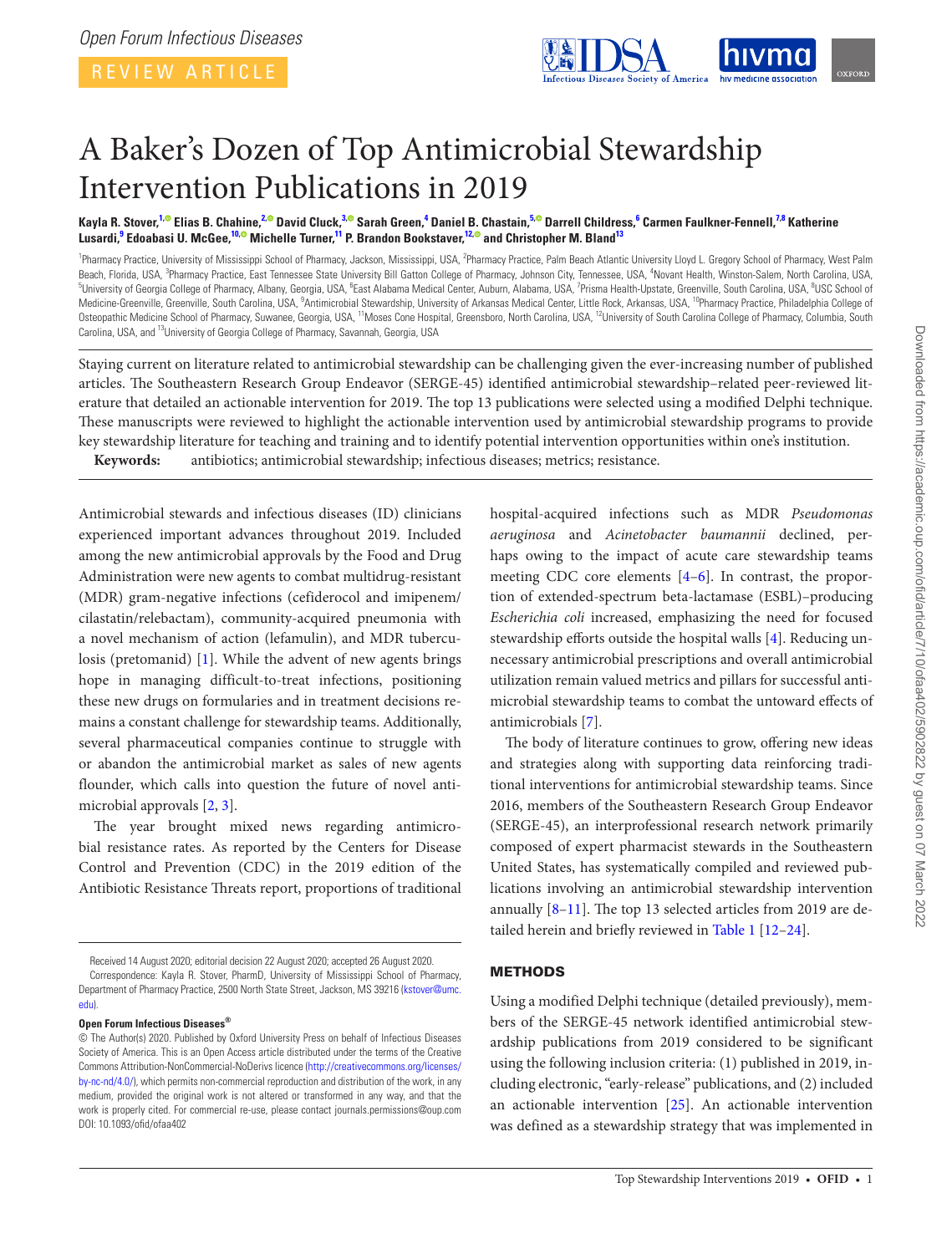<span id="page-2-7"></span><span id="page-2-1"></span>

# A Baker's Dozen of Top Antimicrobial Stewardship Intervention Publications in 2019

Kayla R. Stover,<sup>[1](#page-2-0),©</sup> Elias B. Chahine,<sup>[2](#page-2-1),©</sup> David Cluck,<sup>[3](#page-2-2),©</sup> Sarah Green,<sup>[4](#page-2-3)</sup> Daniel B. Chastain,<sup>[5](#page-2-4),©</sup> Darrell Childress,<sup>[6](#page-2-5)</sup> Carmen Faulkner-Fennell,<sup>[7,](#page-2-6)[8](#page-2-7)</sup> Katherine **Lusardi, [9](#page-2-8) Edoabasi U. McGee, [10](#page-2-9)[, M](http://orcid.org/0000-0001-8488-2407)ichelle Turner, [11](#page-2-10) P. Brandon Bookstaver, [12](#page-2-11)[, a](http://orcid.org/0000-0002-4409-0963)nd Christopher M. Blan[d13](#page-2-12)**

<span id="page-2-8"></span><span id="page-2-5"></span><span id="page-2-4"></span><span id="page-2-3"></span><span id="page-2-2"></span><span id="page-2-0"></span><sup>1</sup>Pharmacy Practice, University of Mississippi School of Pharmacy, Jackson, Mississippi, USA, <sup>2</sup>Pharmacy Practice, Palm Beach Atlantic University Lloyd L. Gregory School of Pharmacy, West Palm Beach, Florida, USA, <sup>3</sup>Pharmacy Practice, East Tennessee State University Bill Gatton College of Pharmacy, Johnson City, Tennessee, USA, <sup>4</sup>Novant Health, Winston-Salem, North Carolina, USA, 1988, 1988, 1988, 1988, 1998, University of Georgia College of Pharmacy, Albany, Georgia, USA, <sup>6</sup>East Alabama Medical Center, Auburn, Alabama, USA, <sup>7</sup>Prisma Health-Upstate, Greenville, South Carolina, USA, <sup>8</sup>USC School of Medicine-Greenville, Greenville, South Carolina, USA, <sup>9</sup>Antimicrobial Stewardship, University of Arkansas Medical Center, Little Rock, Arkansas, USA, <sup>10</sup>Pharmacy Practice, Philadelphia College of Osteopathic Medicine School of Pharmacy, Suwanee, Georgia, USA, <sup>11</sup>Moses Cone Hospital, Greensboro, North Carolina, USA, <sup>12</sup>University of South Carolina College of Pharmacy, Columbia, South Carolina, USA, and <sup>13</sup>University of Georgia College of Pharmacy, Savannah, Georgia, USA

<span id="page-2-12"></span><span id="page-2-10"></span>Staying current on literature related to antimicrobial stewardship can be challenging given the ever-increasing number of published articles. The Southeastern Research Group Endeavor (SERGE-45) identified antimicrobial stewardship–related peer-reviewed literature that detailed an actionable intervention for 2019. The top 13 publications were selected using a modified Delphi technique. These manuscripts were reviewed to highlight the actionable intervention used by antimicrobial stewardship programs to provide key stewardship literature for teaching and training and to identify potential intervention opportunities within one's institution. **Keywords:** antibiotics; antimicrobial stewardship; infectious diseases; metrics; resistance.

Antimicrobial stewards and infectious diseases (ID) clinicians experienced important advances throughout 2019. Included among the new antimicrobial approvals by the Food and Drug Administration were new agents to combat multidrug-resistant (MDR) gram-negative infections (cefiderocol and imipenem/ cilastatin/relebactam), community-acquired pneumonia with a novel mechanism of action (lefamulin), and MDR tuberculosis (pretomanid) [[1\]](#page-11-0). While the advent of new agents brings hope in managing difficult-to-treat infections, positioning these new drugs on formularies and in treatment decisions remains a constant challenge for stewardship teams. Additionally, several pharmaceutical companies continue to struggle with or abandon the antimicrobial market as sales of new agents flounder, which calls into question the future of novel antimicrobial approvals [\[2](#page-11-1), [3\]](#page-11-2).

The year brought mixed news regarding antimicrobial resistance rates. As reported by the Centers for Disease Control and Prevention (CDC) in the 2019 edition of the Antibiotic Resistance Threats report, proportions of traditional

**Open Forum Infectious Diseases®**

<span id="page-2-11"></span><span id="page-2-9"></span><span id="page-2-6"></span>hospital-acquired infections such as MDR *Pseudomonas aeruginosa* and *Acinetobacter baumannii* declined, perhaps owing to the impact of acute care stewardship teams meeting CDC core elements [\[4–](#page-11-3)[6](#page-11-4)]. In contrast, the proportion of extended-spectrum beta-lactamase (ESBL)–producing *Escherichia coli* increased, emphasizing the need for focused stewardship efforts outside the hospital walls [[4](#page-11-3)]. Reducing unnecessary antimicrobial prescriptions and overall antimicrobial utilization remain valued metrics and pillars for successful antimicrobial stewardship teams to combat the untoward effects of antimicrobials [[7](#page-11-5)].

The body of literature continues to grow, offering new ideas and strategies along with supporting data reinforcing traditional interventions for antimicrobial stewardship teams. Since 2016, members of the Southeastern Research Group Endeavor (SERGE-45), an interprofessional research network primarily composed of expert pharmacist stewards in the Southeastern United States, has systematically compiled and reviewed publications involving an antimicrobial stewardship intervention annually [\[8](#page-11-6)–[11](#page-11-7)]. The top 13 selected articles from 2019 are detailed herein and briefly reviewed in [Table 1](#page-3-0) [\[12](#page-11-8)[–24](#page-11-9)].

#### **METHODS**

Using a modified Delphi technique (detailed previously), members of the SERGE-45 network identified antimicrobial stewardship publications from 2019 considered to be significant using the following inclusion criteria: (1) published in 2019, including electronic, "early-release" publications, and (2) included an actionable intervention [[25\]](#page-11-10). An actionable intervention was defined as a stewardship strategy that was implemented in

Received 14 August 2020; editorial decision 22 August 2020; accepted 26 August 2020.

Correspondence: Kayla R. Stover, PharmD, University of Mississippi School of Pharmacy, Department of Pharmacy Practice, 2500 North State Street, Jackson, MS 39216 [\(kstover@umc.](mailto:kstover@umc.edu?subject=) [edu](mailto:kstover@umc.edu?subject=)).

<sup>©</sup> The Author(s) 2020. Published by Oxford University Press on behalf of Infectious Diseases Society of America. This is an Open Access article distributed under the terms of the Creative Commons Attribution-NonCommercial-NoDerivs licence [\(http://creativecommons.org/licenses/](http://creativecommons.org/licenses/by-nc-nd/4.0/) [by-nc-nd/4.0/](http://creativecommons.org/licenses/by-nc-nd/4.0/)), which permits non-commercial reproduction and distribution of the work, in any medium, provided the original work is not altered or transformed in any way, and that the work is properly cited. For commercial re-use, please contact journals.permissions@oup.com DOI: 10.1093/ofid/ofaa402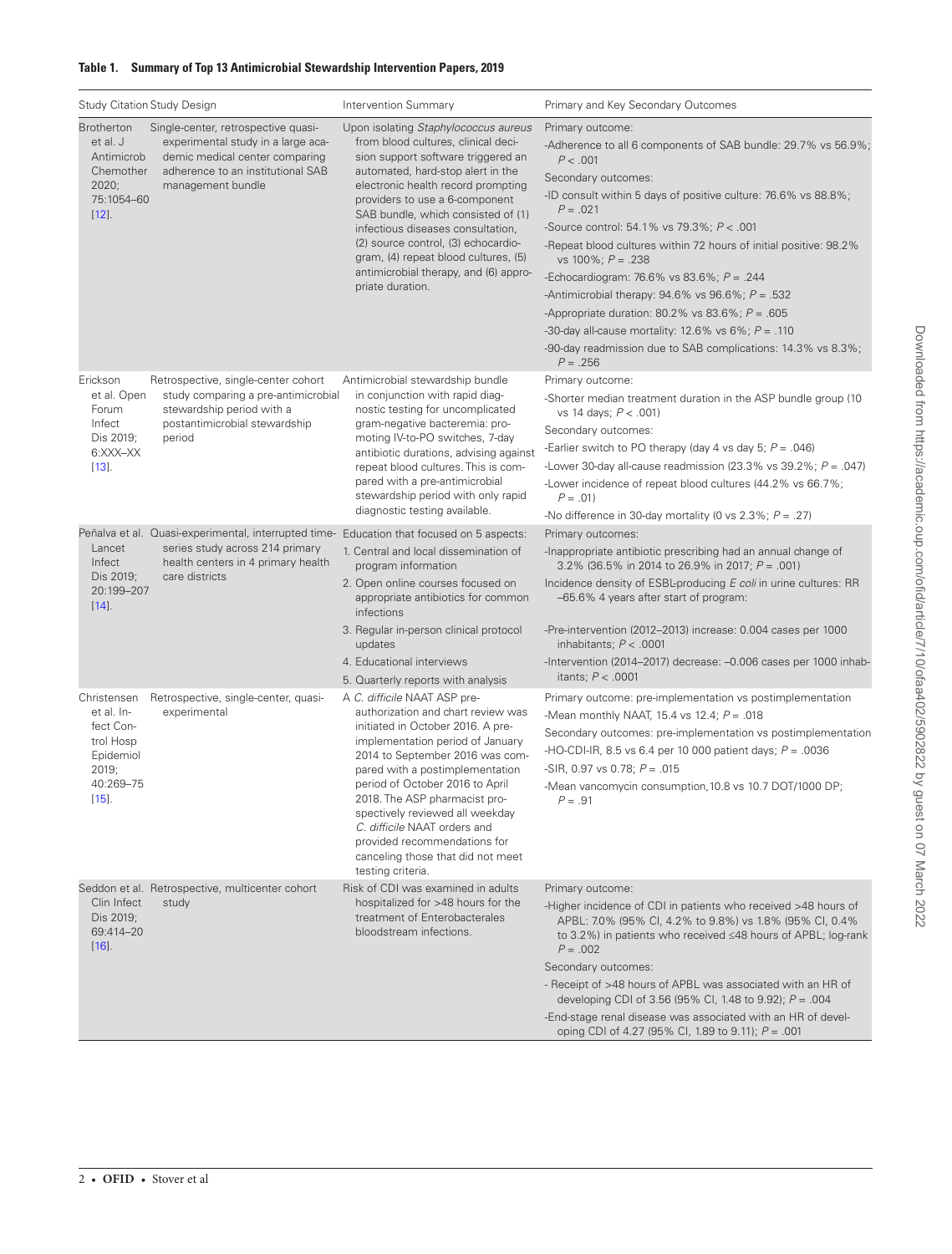#### <span id="page-3-0"></span>**Table 1. Summary of Top 13 Antimicrobial Stewardship Intervention Papers, 2019**

| <b>Study Citation Study Design</b>                                                                                     |                                                                                                                                                  | Intervention Summary                                                                                                                                                                                                                                                                                                                                                                                                                                  | Primary and Key Secondary Outcomes                                                                                                                                                                                                                                                                                                                                                                                                                                                                                                                                                                                                                   |
|------------------------------------------------------------------------------------------------------------------------|--------------------------------------------------------------------------------------------------------------------------------------------------|-------------------------------------------------------------------------------------------------------------------------------------------------------------------------------------------------------------------------------------------------------------------------------------------------------------------------------------------------------------------------------------------------------------------------------------------------------|------------------------------------------------------------------------------------------------------------------------------------------------------------------------------------------------------------------------------------------------------------------------------------------------------------------------------------------------------------------------------------------------------------------------------------------------------------------------------------------------------------------------------------------------------------------------------------------------------------------------------------------------------|
| <b>Brotherton</b><br>et al. J<br>Antimicrob<br>Chemother<br>2020;<br>management bundle<br>75:1054-60<br>$[12]$ .       | Single-center, retrospective quasi-<br>experimental study in a large aca-<br>demic medical center comparing<br>adherence to an institutional SAB | Upon isolating Staphylococcus aureus<br>from blood cultures, clinical deci-<br>sion support software triggered an<br>automated, hard-stop alert in the<br>electronic health record prompting<br>providers to use a 6-component<br>SAB bundle, which consisted of (1)<br>infectious diseases consultation,<br>(2) source control, (3) echocardio-<br>gram, (4) repeat blood cultures, (5)<br>antimicrobial therapy, and (6) appro-<br>priate duration. | Primary outcome:<br>-Adherence to all 6 components of SAB bundle: 29.7% vs 56.9%;<br>P < .001<br>Secondary outcomes:<br>-ID consult within 5 days of positive culture: 76.6% vs 88.8%;<br>$P = .021$<br>-Source control: 54.1% vs 79.3%; P < .001<br>-Repeat blood cultures within 72 hours of initial positive: 98.2%<br>vs 100%; $P = .238$<br>-Echocardiogram: 76.6% vs 83.6%; $P = .244$<br>-Antimicrobial therapy: $94.6\%$ vs $96.6\%$ ; $P = .532$<br>-Appropriate duration: 80.2% vs 83.6%; $P = .605$<br>-30-day all-cause mortality: 12.6% vs 6%; $P = .110$<br>-90-day readmission due to SAB complications: 14.3% vs 8.3%;<br>$P = .256$ |
| Erickson<br>et al. Open<br>stewardship period with a<br>Forum<br>Infect<br>Dis 2019;<br>period<br>6:XXX-XX<br>$[13]$ . | Retrospective, single-center cohort<br>study comparing a pre-antimicrobial<br>postantimicrobial stewardship                                      | Antimicrobial stewardship bundle<br>in conjunction with rapid diag-<br>nostic testing for uncomplicated<br>gram-negative bacteremia: pro-<br>moting IV-to-PO switches, 7-day<br>antibiotic durations, advising against<br>repeat blood cultures. This is com-<br>pared with a pre-antimicrobial<br>stewardship period with only rapid<br>diagnostic testing available.                                                                                | Primary outcome:<br>-Shorter median treatment duration in the ASP bundle group (10)<br>vs 14 days; P < .001)<br>Secondary outcomes:<br>-Earlier switch to PO therapy (day 4 vs day 5; $P = .046$ )<br>-Lower 30-day all-cause readmission (23.3% vs 39.2%; $P = .047$ )<br>-Lower incidence of repeat blood cultures (44.2% vs 66.7%;<br>$P = .01$<br>-No difference in 30-day mortality (0 vs 2.3%; $P = .27$ )                                                                                                                                                                                                                                     |
| Lancet<br>Infect<br>Dis 2019;<br>care districts<br>20:199-207<br>$[14]$ .                                              | series study across 214 primary<br>health centers in 4 primary health                                                                            | Peñalva et al. Quasi-experimental, interrupted time- Education that focused on 5 aspects:<br>1. Central and local dissemination of<br>program information<br>2. Open online courses focused on<br>appropriate antibiotics for common<br>infections<br>3. Regular in-person clinical protocol<br>updates<br>4. Educational interviews<br>5. Quarterly reports with analysis                                                                            | Primary outcomes:<br>-Inappropriate antibiotic prescribing had an annual change of<br>3.2% (36.5% in 2014 to 26.9% in 2017; $P = .001$ )<br>Incidence density of ESBL-producing E coli in urine cultures: RR<br>-65.6% 4 years after start of program:<br>-Pre-intervention (2012–2013) increase: 0.004 cases per 1000<br>inhabitants; $P < .0001$<br>-Intervention (2014-2017) decrease: -0.006 cases per 1000 inhab-<br>itants; $P < .0001$                                                                                                                                                                                                        |
| Christensen<br>et al. In-<br>experimental<br>fect Con-<br>trol Hosp<br>Epidemiol<br>2019;<br>40:269-75<br>$[15]$ .     | Retrospective, single-center, quasi-                                                                                                             | A C. difficile NAAT ASP pre-<br>authorization and chart review was<br>initiated in October 2016. A pre-<br>implementation period of January<br>2014 to September 2016 was com-<br>pared with a postimplementation<br>period of October 2016 to April<br>2018. The ASP pharmacist pro-<br>spectively reviewed all weekday<br>C. difficile NAAT orders and<br>provided recommendations for<br>canceling those that did not meet<br>testing criteria.    | Primary outcome: pre-implementation vs postimplementation<br>-Mean monthly NAAT, 15.4 vs 12.4; $P = .018$<br>Secondary outcomes: pre-implementation vs postimplementation<br>-HO-CDI-IR, 8.5 vs 6.4 per 10 000 patient days; $P = .0036$<br>-SIR, 0.97 vs 0.78; $P = .015$<br>-Mean vancomycin consumption, 10.8 vs 10.7 DOT/1000 DP;<br>$P = .91$                                                                                                                                                                                                                                                                                                   |
| Seddon et al. Retrospective, multicenter cohort<br>Clin Infect<br>study<br>Dis 2019;<br>69:414-20<br>$[16]$ .          |                                                                                                                                                  | Risk of CDI was examined in adults<br>hospitalized for >48 hours for the<br>treatment of Enterobacterales<br>bloodstream infections.                                                                                                                                                                                                                                                                                                                  | Primary outcome:<br>-Higher incidence of CDI in patients who received >48 hours of<br>APBL: 7.0% (95% CI, 4.2% to 9.8%) vs 1.8% (95% CI, 0.4%<br>to 3.2%) in patients who received ≤48 hours of APBL; log-rank<br>$P = .002$<br>Secondary outcomes:<br>- Receipt of >48 hours of APBL was associated with an HR of<br>developing CDI of 3.56 (95% CI, 1.48 to 9.92); $P = .004$<br>-End-stage renal disease was associated with an HR of devel-<br>oping CDI of 4.27 (95% CI, 1.89 to 9.11); $P = .001$                                                                                                                                              |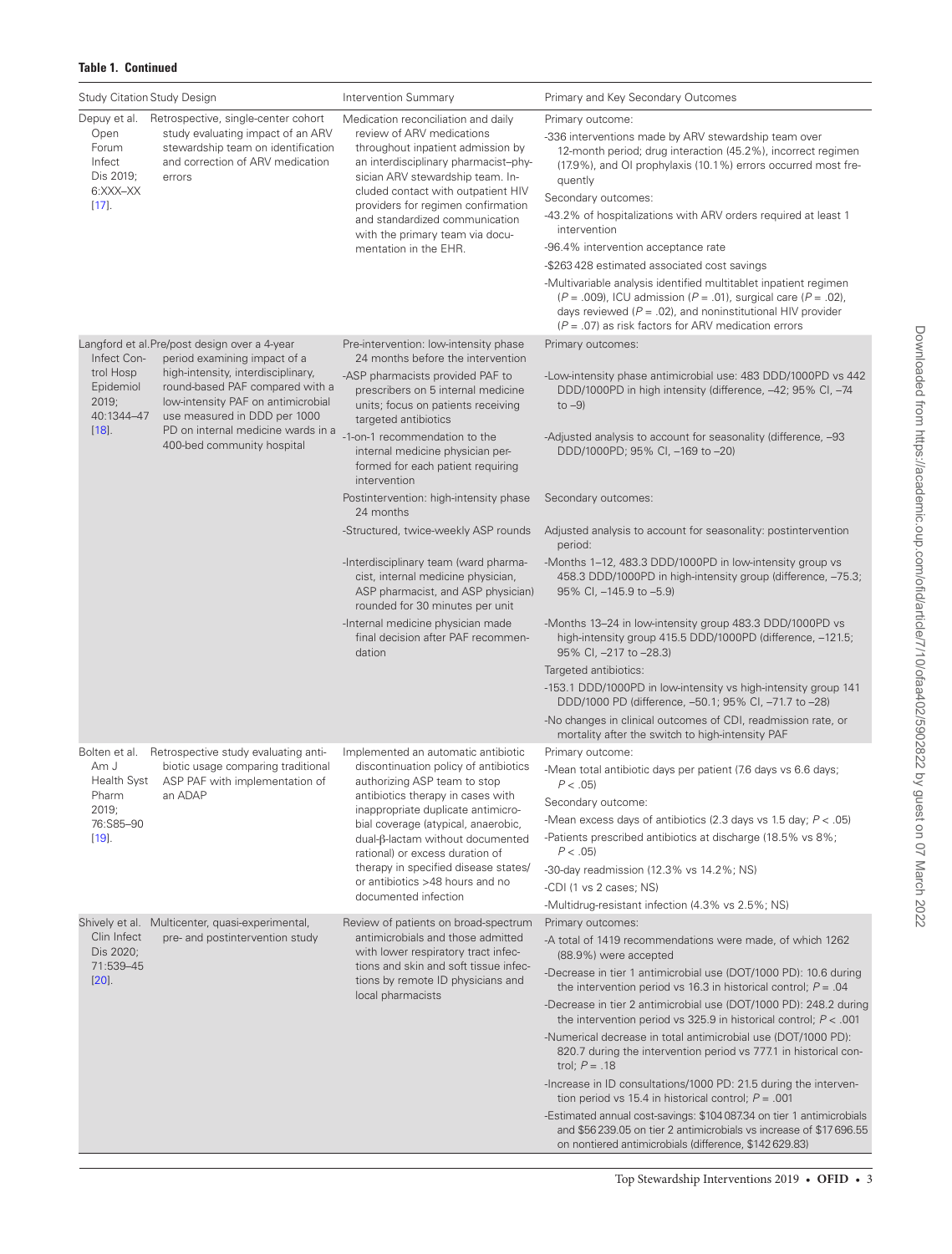| Study Citation Study Design                                                                  |                                                                                                                                                                                                                 | <b>Intervention Summary</b>                                                                                                                                                                                                                                                                                                                                                                                                                      | Primary and Key Secondary Outcomes                                                                                                                                                                                                                                                                                                                                                                                                                                                                                                                                                                                                                                                           |
|----------------------------------------------------------------------------------------------|-----------------------------------------------------------------------------------------------------------------------------------------------------------------------------------------------------------------|--------------------------------------------------------------------------------------------------------------------------------------------------------------------------------------------------------------------------------------------------------------------------------------------------------------------------------------------------------------------------------------------------------------------------------------------------|----------------------------------------------------------------------------------------------------------------------------------------------------------------------------------------------------------------------------------------------------------------------------------------------------------------------------------------------------------------------------------------------------------------------------------------------------------------------------------------------------------------------------------------------------------------------------------------------------------------------------------------------------------------------------------------------|
| Open<br>Forum<br>Infect<br>Dis 2019;<br>6:XXX-XX<br>$[17]$ .                                 | Depuy et al. Retrospective, single-center cohort<br>study evaluating impact of an ARV<br>stewardship team on identification<br>and correction of ARV medication<br>errors                                       | Medication reconciliation and daily<br>review of ARV medications<br>throughout inpatient admission by<br>an interdisciplinary pharmacist-phy-<br>sician ARV stewardship team. In-<br>cluded contact with outpatient HIV<br>providers for regimen confirmation<br>and standardized communication<br>with the primary team via docu-<br>mentation in the EHR.                                                                                      | Primary outcome:<br>-336 interventions made by ARV stewardship team over<br>12-month period; drug interaction (45.2%), incorrect regimen<br>(17.9%), and OI prophylaxis (10.1%) errors occurred most fre-<br>quently<br>Secondary outcomes:<br>-43.2% of hospitalizations with ARV orders required at least 1<br>intervention<br>-96.4% intervention acceptance rate<br>-\$263428 estimated associated cost savings<br>-Multivariable analysis identified multitablet inpatient regimen<br>$(P = .009)$ , ICU admission $(P = .01)$ , surgical care $(P = .02)$ ,<br>days reviewed ( $P = .02$ ), and noninstitutional HIV provider<br>$(P = .07)$ as risk factors for ARV medication errors |
| Langford et al. Pre/post design over a 4-year<br>Infect Con-<br>period examining impact of a |                                                                                                                                                                                                                 | Pre-intervention: low-intensity phase<br>24 months before the intervention                                                                                                                                                                                                                                                                                                                                                                       | Primary outcomes:                                                                                                                                                                                                                                                                                                                                                                                                                                                                                                                                                                                                                                                                            |
| trol Hosp<br>Epidemiol<br>2019;<br>40:1344-47<br>$[18]$ .                                    | high-intensity, interdisciplinary,<br>round-based PAF compared with a<br>low-intensity PAF on antimicrobial<br>use measured in DDD per 1000<br>PD on internal medicine wards in a<br>400-bed community hospital | -ASP pharmacists provided PAF to<br>prescribers on 5 internal medicine<br>units; focus on patients receiving<br>targeted antibiotics                                                                                                                                                                                                                                                                                                             | -Low-intensity phase antimicrobial use: 483 DDD/1000PD vs 442<br>DDD/1000PD in high intensity (difference, -42; 95% CI, -74<br>to $-9$ )                                                                                                                                                                                                                                                                                                                                                                                                                                                                                                                                                     |
|                                                                                              |                                                                                                                                                                                                                 | -1-on-1 recommendation to the<br>internal medicine physician per-<br>formed for each patient requiring<br>intervention                                                                                                                                                                                                                                                                                                                           | -Adjusted analysis to account for seasonality (difference, -93<br>DDD/1000PD; 95% CI, -169 to -20)                                                                                                                                                                                                                                                                                                                                                                                                                                                                                                                                                                                           |
|                                                                                              |                                                                                                                                                                                                                 | Postintervention: high-intensity phase<br>24 months                                                                                                                                                                                                                                                                                                                                                                                              | Secondary outcomes:                                                                                                                                                                                                                                                                                                                                                                                                                                                                                                                                                                                                                                                                          |
|                                                                                              |                                                                                                                                                                                                                 | -Structured, twice-weekly ASP rounds                                                                                                                                                                                                                                                                                                                                                                                                             | Adjusted analysis to account for seasonality: postintervention<br>period:                                                                                                                                                                                                                                                                                                                                                                                                                                                                                                                                                                                                                    |
|                                                                                              |                                                                                                                                                                                                                 | -Interdisciplinary team (ward pharma-<br>cist, internal medicine physician,<br>ASP pharmacist, and ASP physician)<br>rounded for 30 minutes per unit                                                                                                                                                                                                                                                                                             | -Months 1-12, 483.3 DDD/1000PD in low-intensity group vs<br>458.3 DDD/1000PD in high-intensity group (difference, -75.3;<br>95% CI, -145.9 to -5.9)                                                                                                                                                                                                                                                                                                                                                                                                                                                                                                                                          |
|                                                                                              |                                                                                                                                                                                                                 | -Internal medicine physician made<br>final decision after PAF recommen-<br>dation                                                                                                                                                                                                                                                                                                                                                                | -Months 13-24 in low-intensity group 483.3 DDD/1000PD vs<br>high-intensity group 415.5 DDD/1000PD (difference, -121.5;<br>95% CI, -217 to -28.3)                                                                                                                                                                                                                                                                                                                                                                                                                                                                                                                                             |
|                                                                                              |                                                                                                                                                                                                                 |                                                                                                                                                                                                                                                                                                                                                                                                                                                  | Targeted antibiotics:<br>-153.1 DDD/1000PD in low-intensity vs high-intensity group 141<br>DDD/1000 PD (difference, -50.1; 95% CI, -71.7 to -28)<br>-No changes in clinical outcomes of CDI, readmission rate, or                                                                                                                                                                                                                                                                                                                                                                                                                                                                            |
|                                                                                              |                                                                                                                                                                                                                 |                                                                                                                                                                                                                                                                                                                                                                                                                                                  | mortality after the switch to high-intensity PAF                                                                                                                                                                                                                                                                                                                                                                                                                                                                                                                                                                                                                                             |
| Bolten et al.<br>Am J<br><b>Health Syst</b><br>Pharm<br>2019;<br>76:S85-90<br>$[19]$ .       | Retrospective study evaluating anti-<br>biotic usage comparing traditional<br>ASP PAF with implementation of<br>an ADAP                                                                                         | Implemented an automatic antibiotic<br>discontinuation policy of antibiotics<br>authorizing ASP team to stop<br>antibiotics therapy in cases with<br>inappropriate duplicate antimicro-<br>bial coverage (atypical, anaerobic,<br>dual-β-lactam without documented<br>rational) or excess duration of<br>therapy in specified disease states/<br>or antibiotics >48 hours and no<br>documented infection<br>Review of patients on broad-spectrum | Primary outcome:<br>-Mean total antibiotic days per patient (7.6 days vs 6.6 days;<br>P < .05<br>Secondary outcome:                                                                                                                                                                                                                                                                                                                                                                                                                                                                                                                                                                          |
|                                                                                              |                                                                                                                                                                                                                 |                                                                                                                                                                                                                                                                                                                                                                                                                                                  | -Mean excess days of antibiotics (2.3 days vs 1.5 day; $P < .05$ )<br>-Patients prescribed antibiotics at discharge (18.5% vs 8%;<br>$P < .05$ )                                                                                                                                                                                                                                                                                                                                                                                                                                                                                                                                             |
|                                                                                              |                                                                                                                                                                                                                 |                                                                                                                                                                                                                                                                                                                                                                                                                                                  | $-30$ -day readmission (12.3% vs 14.2%; NS)<br>-CDI (1 vs 2 cases; NS)                                                                                                                                                                                                                                                                                                                                                                                                                                                                                                                                                                                                                       |
|                                                                                              | Shively et al. Multicenter, quasi-experimental,                                                                                                                                                                 |                                                                                                                                                                                                                                                                                                                                                                                                                                                  | -Multidrug-resistant infection (4.3% vs 2.5%; NS)<br>Primary outcomes:                                                                                                                                                                                                                                                                                                                                                                                                                                                                                                                                                                                                                       |
| Clin Infect<br>Dis 2020:<br>71:539-45<br>$[20]$ .                                            | pre- and postintervention study                                                                                                                                                                                 | antimicrobials and those admitted<br>with lower respiratory tract infec-<br>tions and skin and soft tissue infec-<br>tions by remote ID physicians and<br>local pharmacists                                                                                                                                                                                                                                                                      | -A total of 1419 recommendations were made, of which 1262<br>(88.9%) were accepted                                                                                                                                                                                                                                                                                                                                                                                                                                                                                                                                                                                                           |
|                                                                                              |                                                                                                                                                                                                                 |                                                                                                                                                                                                                                                                                                                                                                                                                                                  | -Decrease in tier 1 antimicrobial use (DOT/1000 PD): 10.6 during<br>the intervention period vs 16.3 in historical control; $P = .04$                                                                                                                                                                                                                                                                                                                                                                                                                                                                                                                                                         |
|                                                                                              |                                                                                                                                                                                                                 |                                                                                                                                                                                                                                                                                                                                                                                                                                                  | -Decrease in tier 2 antimicrobial use (DOT/1000 PD): 248.2 during<br>the intervention period vs 325.9 in historical control; $P < .001$                                                                                                                                                                                                                                                                                                                                                                                                                                                                                                                                                      |
|                                                                                              |                                                                                                                                                                                                                 |                                                                                                                                                                                                                                                                                                                                                                                                                                                  | -Numerical decrease in total antimicrobial use (DOT/1000 PD):<br>820.7 during the intervention period vs 777.1 in historical con-<br>trol; $P = .18$                                                                                                                                                                                                                                                                                                                                                                                                                                                                                                                                         |
|                                                                                              |                                                                                                                                                                                                                 |                                                                                                                                                                                                                                                                                                                                                                                                                                                  | -Increase in ID consultations/1000 PD: 21.5 during the interven-<br>tion period vs 15.4 in historical control; $P = .001$                                                                                                                                                                                                                                                                                                                                                                                                                                                                                                                                                                    |
|                                                                                              |                                                                                                                                                                                                                 |                                                                                                                                                                                                                                                                                                                                                                                                                                                  | -Estimated annual cost-savings: \$104 087.34 on tier 1 antimicrobials<br>and \$56239.05 on tier 2 antimicrobials vs increase of \$17696.55<br>on nontiered antimicrobials (difference, \$142 629.83)                                                                                                                                                                                                                                                                                                                                                                                                                                                                                         |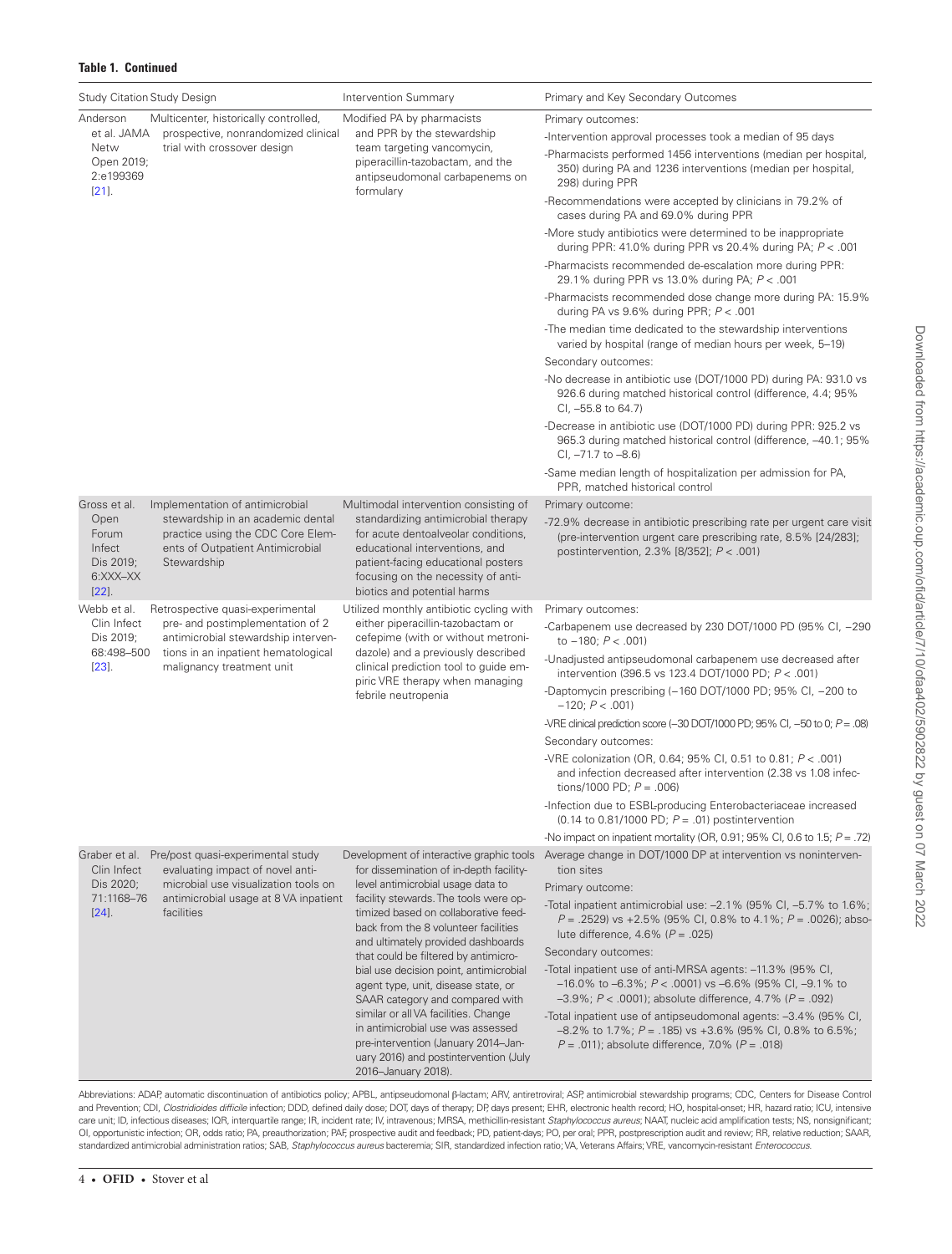| <b>Study Citation Study Design</b>                           |                                                                                                                                                              | <b>Intervention Summary</b>                                                                                                                                                                                                                                                                                                                                                                                                                                                                                                                                                                                                             | Primary and Key Secondary Outcomes                                                                                                                                                                        |
|--------------------------------------------------------------|--------------------------------------------------------------------------------------------------------------------------------------------------------------|-----------------------------------------------------------------------------------------------------------------------------------------------------------------------------------------------------------------------------------------------------------------------------------------------------------------------------------------------------------------------------------------------------------------------------------------------------------------------------------------------------------------------------------------------------------------------------------------------------------------------------------------|-----------------------------------------------------------------------------------------------------------------------------------------------------------------------------------------------------------|
| Anderson<br>Multicenter, historically controlled,            |                                                                                                                                                              | Modified PA by pharmacists                                                                                                                                                                                                                                                                                                                                                                                                                                                                                                                                                                                                              | Primary outcomes:                                                                                                                                                                                         |
| et al. JAMA<br>Netw<br>Open 2019;<br>2:e199369<br>$[21]$ .   | prospective, nonrandomized clinical<br>trial with crossover design                                                                                           | and PPR by the stewardship<br>team targeting vancomycin,<br>piperacillin-tazobactam, and the<br>antipseudomonal carbapenems on<br>formulary                                                                                                                                                                                                                                                                                                                                                                                                                                                                                             | -Intervention approval processes took a median of 95 days                                                                                                                                                 |
|                                                              |                                                                                                                                                              |                                                                                                                                                                                                                                                                                                                                                                                                                                                                                                                                                                                                                                         | -Pharmacists performed 1456 interventions (median per hospital,<br>350) during PA and 1236 interventions (median per hospital,<br>298) during PPR                                                         |
|                                                              |                                                                                                                                                              |                                                                                                                                                                                                                                                                                                                                                                                                                                                                                                                                                                                                                                         | -Recommendations were accepted by clinicians in 79.2% of<br>cases during PA and 69.0% during PPR                                                                                                          |
|                                                              |                                                                                                                                                              |                                                                                                                                                                                                                                                                                                                                                                                                                                                                                                                                                                                                                                         | -More study antibiotics were determined to be inappropriate<br>during PPR: 41.0% during PPR vs 20.4% during PA; $P < .001$                                                                                |
|                                                              |                                                                                                                                                              |                                                                                                                                                                                                                                                                                                                                                                                                                                                                                                                                                                                                                                         | -Pharmacists recommended de-escalation more during PPR:<br>29.1% during PPR vs 13.0% during PA; P < .001                                                                                                  |
|                                                              |                                                                                                                                                              |                                                                                                                                                                                                                                                                                                                                                                                                                                                                                                                                                                                                                                         | -Pharmacists recommended dose change more during PA: 15.9%<br>during PA vs $9.6\%$ during PPR; $P < .001$                                                                                                 |
|                                                              |                                                                                                                                                              |                                                                                                                                                                                                                                                                                                                                                                                                                                                                                                                                                                                                                                         | -The median time dedicated to the stewardship interventions<br>varied by hospital (range of median hours per week, 5–19)                                                                                  |
|                                                              |                                                                                                                                                              |                                                                                                                                                                                                                                                                                                                                                                                                                                                                                                                                                                                                                                         | Secondary outcomes:                                                                                                                                                                                       |
|                                                              |                                                                                                                                                              |                                                                                                                                                                                                                                                                                                                                                                                                                                                                                                                                                                                                                                         | -No decrease in antibiotic use (DOT/1000 PD) during PA: 931.0 vs<br>926.6 during matched historical control (difference, 4.4; 95%<br>CI, -55.8 to 64.7)                                                   |
|                                                              |                                                                                                                                                              |                                                                                                                                                                                                                                                                                                                                                                                                                                                                                                                                                                                                                                         | -Decrease in antibiotic use (DOT/1000 PD) during PPR: 925.2 vs<br>965.3 during matched historical control (difference, -40.1; 95%<br>CI, -71.7 to -8.6)                                                   |
|                                                              |                                                                                                                                                              |                                                                                                                                                                                                                                                                                                                                                                                                                                                                                                                                                                                                                                         | -Same median length of hospitalization per admission for PA,<br>PPR, matched historical control                                                                                                           |
| Gross et al.                                                 | Implementation of antimicrobial<br>stewardship in an academic dental<br>practice using the CDC Core Elem-<br>ents of Outpatient Antimicrobial<br>Stewardship | Multimodal intervention consisting of<br>standardizing antimicrobial therapy<br>for acute dentoalveolar conditions,<br>educational interventions, and<br>patient-facing educational posters<br>focusing on the necessity of anti-<br>biotics and potential harms                                                                                                                                                                                                                                                                                                                                                                        | Primary outcome:                                                                                                                                                                                          |
| Open<br>Forum<br>Infect<br>Dis 2019;<br>6:XXX-XX<br>$[22]$ . |                                                                                                                                                              |                                                                                                                                                                                                                                                                                                                                                                                                                                                                                                                                                                                                                                         | -72.9% decrease in antibiotic prescribing rate per urgent care visit<br>(pre-intervention urgent care prescribing rate, 8.5% [24/283];<br>postintervention, 2.3% [8/352]; P < .001)                       |
| Webb et al.                                                  | Retrospective quasi-experimental                                                                                                                             | Utilized monthly antibiotic cycling with                                                                                                                                                                                                                                                                                                                                                                                                                                                                                                                                                                                                | Primary outcomes:                                                                                                                                                                                         |
| Clin Infect<br>Dis 2019;<br>68:498-500<br>$[23]$ .           | pre- and postimplementation of 2<br>antimicrobial stewardship interven-<br>tions in an inpatient hematological<br>malignancy treatment unit                  | either piperacillin-tazobactam or<br>cefepime (with or without metroni-<br>dazole) and a previously described<br>clinical prediction tool to guide em-<br>piric VRE therapy when managing<br>febrile neutropenia                                                                                                                                                                                                                                                                                                                                                                                                                        | -Carbapenem use decreased by 230 DOT/1000 PD (95% CI, -290<br>to $-180$ ; $P < .001$ )                                                                                                                    |
|                                                              |                                                                                                                                                              |                                                                                                                                                                                                                                                                                                                                                                                                                                                                                                                                                                                                                                         | -Unadjusted antipseudomonal carbapenem use decreased after<br>intervention (396.5 vs 123.4 DOT/1000 PD; $P < .001$ )                                                                                      |
|                                                              |                                                                                                                                                              |                                                                                                                                                                                                                                                                                                                                                                                                                                                                                                                                                                                                                                         | -Daptomycin prescribing (-160 DOT/1000 PD; 95% CI, -200 to<br>$-120; P < .001$                                                                                                                            |
|                                                              |                                                                                                                                                              |                                                                                                                                                                                                                                                                                                                                                                                                                                                                                                                                                                                                                                         | -VRE clinical prediction score (-30 DOT/1000 PD; 95% CI, -50 to 0; $P = .08$ )                                                                                                                            |
|                                                              |                                                                                                                                                              |                                                                                                                                                                                                                                                                                                                                                                                                                                                                                                                                                                                                                                         | Secondary outcomes:                                                                                                                                                                                       |
|                                                              |                                                                                                                                                              |                                                                                                                                                                                                                                                                                                                                                                                                                                                                                                                                                                                                                                         | -VRE colonization (OR, 0.64; 95% CI, 0.51 to 0.81; $P < .001$ )<br>and infection decreased after intervention (2.38 vs 1.08 infec-<br>tions/1000 PD: $P = .006$ )                                         |
|                                                              |                                                                                                                                                              |                                                                                                                                                                                                                                                                                                                                                                                                                                                                                                                                                                                                                                         | -Infection due to ESBL-producing Enterobacteriaceae increased<br>(0.14 to 0.81/1000 PD; $P = .01$ ) postintervention                                                                                      |
|                                                              |                                                                                                                                                              |                                                                                                                                                                                                                                                                                                                                                                                                                                                                                                                                                                                                                                         | -No impact on inpatient mortality (OR, 0.91; 95% CI, 0.6 to 1.5; $P = .72$ )                                                                                                                              |
| Graber et al.<br>Clin Infect                                 | Pre/post quasi-experimental study<br>evaluating impact of novel anti-                                                                                        | Development of interactive graphic tools<br>for dissemination of in-depth facility-<br>level antimicrobial usage data to<br>facility stewards. The tools were op-<br>timized based on collaborative feed-<br>back from the 8 volunteer facilities<br>and ultimately provided dashboards<br>that could be filtered by antimicro-<br>bial use decision point, antimicrobial<br>agent type, unit, disease state, or<br>SAAR category and compared with<br>similar or all VA facilities. Change<br>in antimicrobial use was assessed<br>pre-intervention (January 2014-Jan-<br>uary 2016) and postintervention (July<br>2016-January 2018). | Average change in DOT/1000 DP at intervention vs noninterven-<br>tion sites                                                                                                                               |
| Dis 2020;<br>71:1168-76<br>$[24]$ .                          | microbial use visualization tools on<br>antimicrobial usage at 8 VA inpatient<br>facilities                                                                  |                                                                                                                                                                                                                                                                                                                                                                                                                                                                                                                                                                                                                                         | Primary outcome:                                                                                                                                                                                          |
|                                                              |                                                                                                                                                              |                                                                                                                                                                                                                                                                                                                                                                                                                                                                                                                                                                                                                                         | -Total inpatient antimicrobial use: -2.1% (95% CI, -5.7% to 1.6%;<br>$P = .2529$ vs +2.5% (95% CI, 0.8% to 4.1%; $P = .0026$ ); abso-<br>lute difference, 4.6% ( $P = .025$ )                             |
|                                                              |                                                                                                                                                              |                                                                                                                                                                                                                                                                                                                                                                                                                                                                                                                                                                                                                                         | Secondary outcomes:                                                                                                                                                                                       |
|                                                              |                                                                                                                                                              |                                                                                                                                                                                                                                                                                                                                                                                                                                                                                                                                                                                                                                         | -Total inpatient use of anti-MRSA agents: -11.3% (95% CI,<br>$-16.0\%$ to $-6.3\%$ ; $P < .0001$ ) vs $-6.6\%$ (95% CI, $-9.1\%$ to<br>$-3.9\%$ ; $P < .0001$ ); absolute difference, 4.7% ( $P = .092$ ) |
|                                                              |                                                                                                                                                              |                                                                                                                                                                                                                                                                                                                                                                                                                                                                                                                                                                                                                                         | -Total inpatient use of antipseudomonal agents: -3.4% (95% CI,<br>$-8.2\%$ to 1.7%; P = .185) vs $+3.6\%$ (95% CI, 0.8% to 6.5%;<br>$P = .011$ ; absolute difference, 7.0% ( $P = .018$ )                 |

Abbreviations: ADAP, automatic discontinuation of antibiotics policy; APBL, antipseudomonal β-lactam; ARV, antiretroviral; ASP, antimicrobial stewardship programs; CDC, Centers for Disease Control and Prevention; CDI, *Clostridioides difficile* infection; DDD, defined daily dose; DOT, days of therapy; DP, days present; EHR, electronic health record; HO, hospital-onset; HR, hazard ratio; ICU, intensive care unit; ID, infectious diseases; IQR, interquartile range; IR, incident rate; IV, intravenous; MRSA, methicillin-resistant *Staphylococcus aureus*; NAAT, nucleic acid amplification tests; NS, nonsignificant; OI, opportunistic infection; OR, odds ratio; PA, preauthorization; PAF, prospective audit and feedback; PD, patient-days; PO, per oral; PPR, postprescription audit and review; RR, relative reduction; SAAR, standardized antimicrobial administration ratios; SAB, *Staphylococcus aureus* bacteremia; SIR, standardized infection ratio; VA, Veterans Affairs; VRE, vancomycin-resistant *Enterococcus*.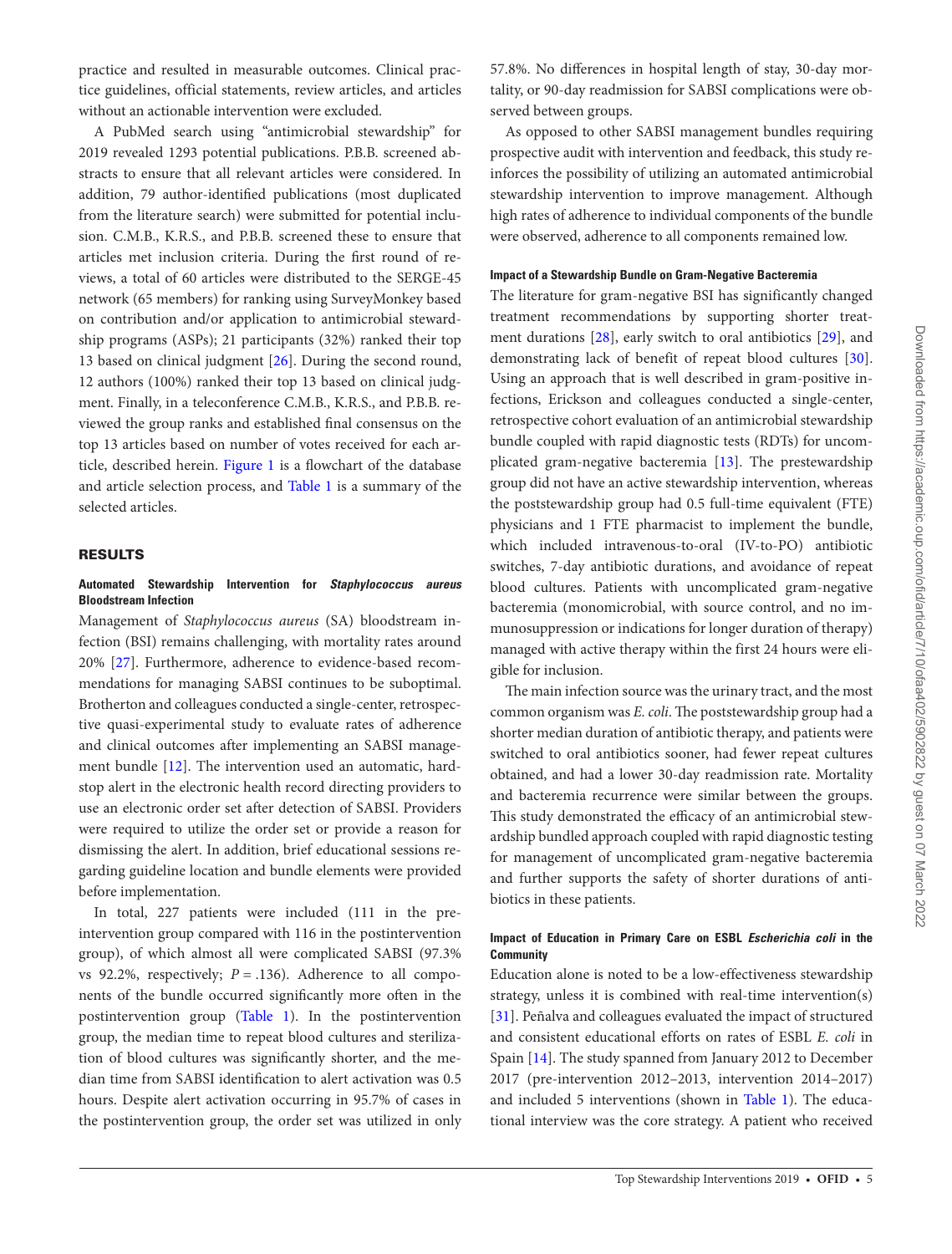practice and resulted in measurable outcomes. Clinical practice guidelines, official statements, review articles, and articles without an actionable intervention were excluded.

A PubMed search using "antimicrobial stewardship" for 2019 revealed 1293 potential publications. P.B.B. screened abstracts to ensure that all relevant articles were considered. In addition, 79 author-identified publications (most duplicated from the literature search) were submitted for potential inclusion. C.M.B., K.R.S., and P.B.B. screened these to ensure that articles met inclusion criteria. During the first round of reviews, a total of 60 articles were distributed to the SERGE-45 network (65 members) for ranking using SurveyMonkey based on contribution and/or application to antimicrobial stewardship programs (ASPs); 21 participants (32%) ranked their top 13 based on clinical judgment [[26\]](#page-11-22). During the second round, 12 authors (100%) ranked their top 13 based on clinical judgment. Finally, in a teleconference C.M.B., K.R.S., and P.B.B. reviewed the group ranks and established final consensus on the top 13 articles based on number of votes received for each article, described herein. [Figure 1](#page-7-0) is a flowchart of the database and article selection process, and [Table 1](#page-3-0) is a summary of the selected articles.

#### RESULTS

#### **Automated Stewardship Intervention for** *Staphylococcus aureus* **Bloodstream Infection**

Management of *Staphylococcus aureus* (SA) bloodstream infection (BSI) remains challenging, with mortality rates around 20% [\[27](#page-11-23)]. Furthermore, adherence to evidence-based recommendations for managing SABSI continues to be suboptimal. Brotherton and colleagues conducted a single-center, retrospective quasi-experimental study to evaluate rates of adherence and clinical outcomes after implementing an SABSI management bundle [[12\]](#page-11-8). The intervention used an automatic, hardstop alert in the electronic health record directing providers to use an electronic order set after detection of SABSI. Providers were required to utilize the order set or provide a reason for dismissing the alert. In addition, brief educational sessions regarding guideline location and bundle elements were provided before implementation.

In total, 227 patients were included (111 in the preintervention group compared with 116 in the postintervention group), of which almost all were complicated SABSI (97.3% vs 92.2%, respectively;  $P = .136$ ). Adherence to all components of the bundle occurred significantly more often in the postintervention group [\(Table 1\)](#page-3-0). In the postintervention group, the median time to repeat blood cultures and sterilization of blood cultures was significantly shorter, and the median time from SABSI identification to alert activation was 0.5 hours. Despite alert activation occurring in 95.7% of cases in the postintervention group, the order set was utilized in only 57.8%. No differences in hospital length of stay, 30-day mortality, or 90-day readmission for SABSI complications were observed between groups.

As opposed to other SABSI management bundles requiring prospective audit with intervention and feedback, this study reinforces the possibility of utilizing an automated antimicrobial stewardship intervention to improve management. Although high rates of adherence to individual components of the bundle were observed, adherence to all components remained low.

#### **Impact of a Stewardship Bundle on Gram-Negative Bacteremia**

The literature for gram-negative BSI has significantly changed treatment recommendations by supporting shorter treatment durations [[28\]](#page-11-24), early switch to oral antibiotics [[29](#page-11-25)], and demonstrating lack of benefit of repeat blood cultures [\[30](#page-11-26)]. Using an approach that is well described in gram-positive infections, Erickson and colleagues conducted a single-center, retrospective cohort evaluation of an antimicrobial stewardship bundle coupled with rapid diagnostic tests (RDTs) for uncomplicated gram-negative bacteremia [[13](#page-11-11)]. The prestewardship group did not have an active stewardship intervention, whereas the poststewardship group had 0.5 full-time equivalent (FTE) physicians and 1 FTE pharmacist to implement the bundle, which included intravenous-to-oral (IV-to-PO) antibiotic switches, 7-day antibiotic durations, and avoidance of repeat blood cultures. Patients with uncomplicated gram-negative bacteremia (monomicrobial, with source control, and no immunosuppression or indications for longer duration of therapy) managed with active therapy within the first 24 hours were eligible for inclusion.

The main infection source was the urinary tract, and the most common organism was *E. coli*. The poststewardship group had a shorter median duration of antibiotic therapy, and patients were switched to oral antibiotics sooner, had fewer repeat cultures obtained, and had a lower 30-day readmission rate. Mortality and bacteremia recurrence were similar between the groups. This study demonstrated the efficacy of an antimicrobial stewardship bundled approach coupled with rapid diagnostic testing for management of uncomplicated gram-negative bacteremia and further supports the safety of shorter durations of antibiotics in these patients.

#### **Impact of Education in Primary Care on ESBL** *Escherichia coli* **in the Community**

Education alone is noted to be a low-effectiveness stewardship strategy, unless it is combined with real-time intervention(s) [\[31](#page-11-27)]. Peñalva and colleagues evaluated the impact of structured and consistent educational efforts on rates of ESBL *E. coli* in Spain [[14\]](#page-11-12). The study spanned from January 2012 to December 2017 (pre-intervention 2012–2013, intervention 2014–2017) and included 5 interventions (shown in [Table 1](#page-3-0)). The educational interview was the core strategy. A patient who received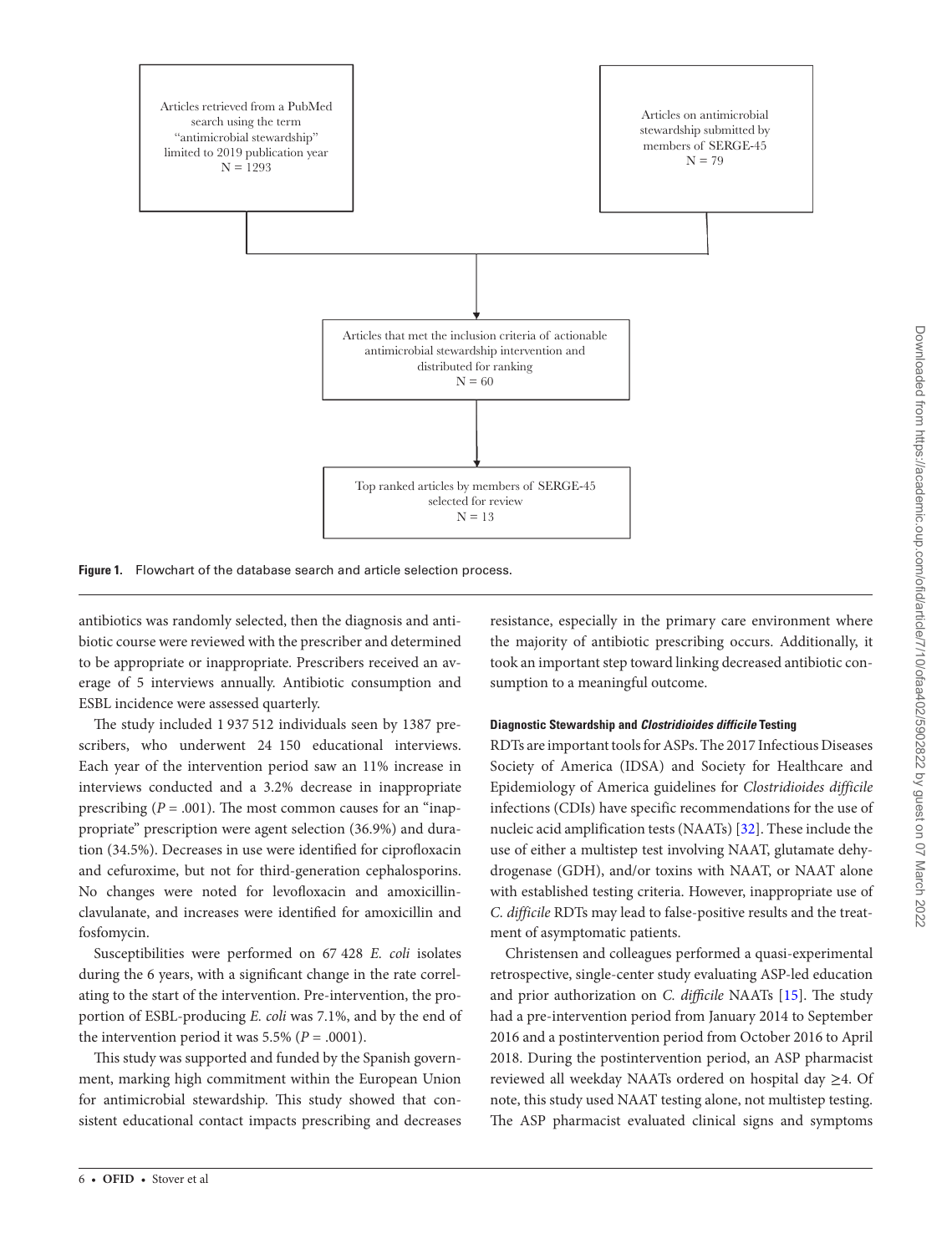

<span id="page-7-0"></span>**Figure 1.** Flowchart of the database search and article selection process.

antibiotics was randomly selected, then the diagnosis and antibiotic course were reviewed with the prescriber and determined to be appropriate or inappropriate. Prescribers received an average of 5 interviews annually. Antibiotic consumption and ESBL incidence were assessed quarterly.

The study included 1 937 512 individuals seen by 1387 prescribers, who underwent 24 150 educational interviews. Each year of the intervention period saw an 11% increase in interviews conducted and a 3.2% decrease in inappropriate prescribing  $(P = .001)$ . The most common causes for an "inappropriate" prescription were agent selection (36.9%) and duration (34.5%). Decreases in use were identified for ciprofloxacin and cefuroxime, but not for third-generation cephalosporins. No changes were noted for levofloxacin and amoxicillinclavulanate, and increases were identified for amoxicillin and fosfomycin.

Susceptibilities were performed on 67 428 *E. coli* isolates during the 6 years, with a significant change in the rate correlating to the start of the intervention. Pre-intervention, the proportion of ESBL-producing *E. coli* was 7.1%, and by the end of the intervention period it was  $5.5\%$  ( $P = .0001$ ).

This study was supported and funded by the Spanish government, marking high commitment within the European Union for antimicrobial stewardship. This study showed that consistent educational contact impacts prescribing and decreases resistance, especially in the primary care environment where the majority of antibiotic prescribing occurs. Additionally, it took an important step toward linking decreased antibiotic consumption to a meaningful outcome.

#### **Diagnostic Stewardship and** *Clostridioides difficile* **Testing**

RDTs are important tools for ASPs. The 2017 Infectious Diseases Society of America (IDSA) and Society for Healthcare and Epidemiology of America guidelines for *Clostridioides difficile* infections (CDIs) have specific recommendations for the use of nucleic acid amplification tests (NAATs) [\[32](#page-11-28)]. These include the use of either a multistep test involving NAAT, glutamate dehydrogenase (GDH), and/or toxins with NAAT, or NAAT alone with established testing criteria. However, inappropriate use of *C. difficile* RDTs may lead to false-positive results and the treatment of asymptomatic patients.

Christensen and colleagues performed a quasi-experimental retrospective, single-center study evaluating ASP-led education and prior authorization on *C. difficile* NAATs [\[15](#page-11-13)]. The study had a pre-intervention period from January 2014 to September 2016 and a postintervention period from October 2016 to April 2018. During the postintervention period, an ASP pharmacist reviewed all weekday NAATs ordered on hospital day ≥4. Of note, this study used NAAT testing alone, not multistep testing. The ASP pharmacist evaluated clinical signs and symptoms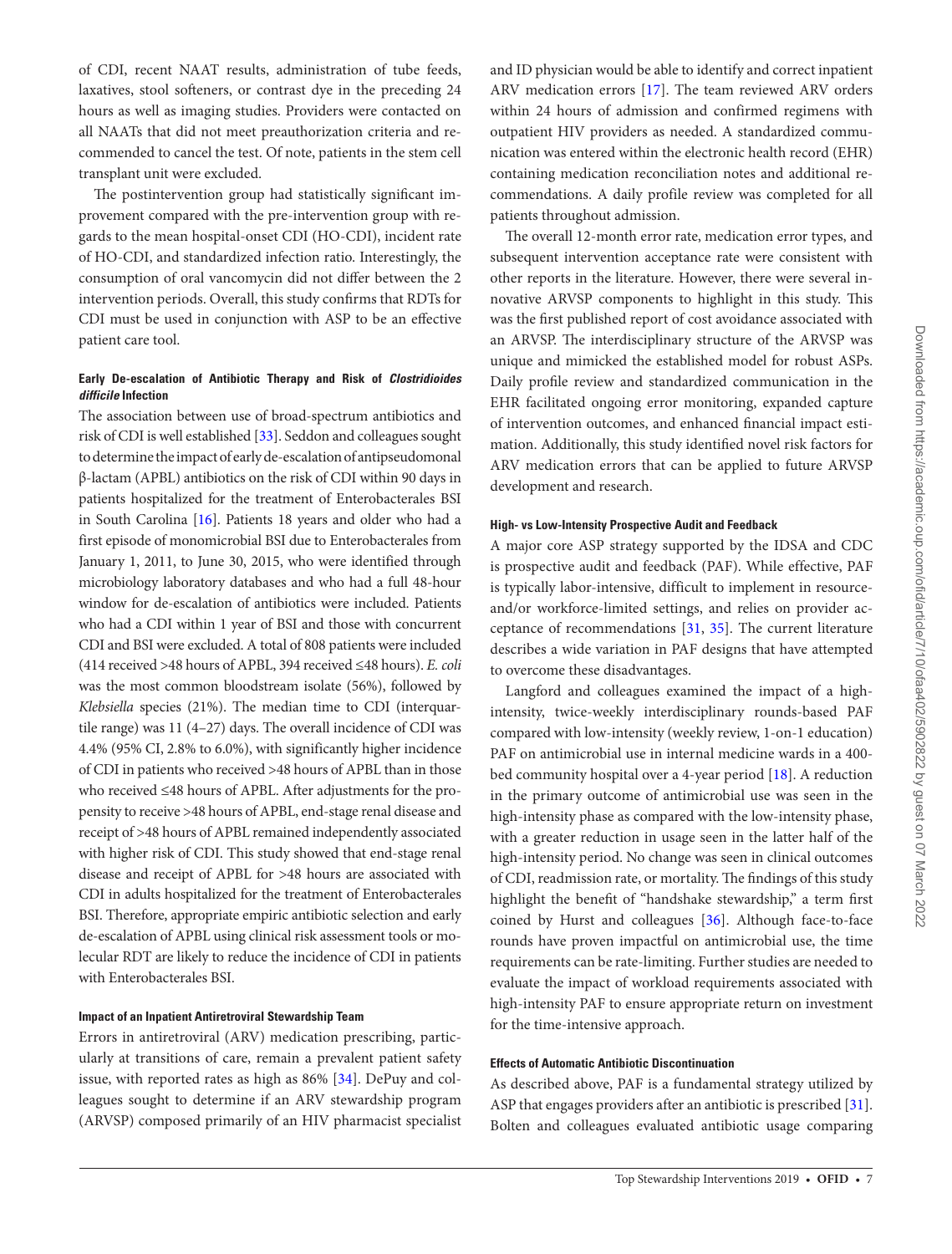of CDI, recent NAAT results, administration of tube feeds, laxatives, stool softeners, or contrast dye in the preceding 24 hours as well as imaging studies. Providers were contacted on all NAATs that did not meet preauthorization criteria and recommended to cancel the test. Of note, patients in the stem cell transplant unit were excluded.

The postintervention group had statistically significant improvement compared with the pre-intervention group with regards to the mean hospital-onset CDI (HO-CDI), incident rate of HO-CDI, and standardized infection ratio. Interestingly, the consumption of oral vancomycin did not differ between the 2 intervention periods. Overall, this study confirms that RDTs for CDI must be used in conjunction with ASP to be an effective patient care tool.

#### **Early De-escalation of Antibiotic Therapy and Risk of** *Clostridioides difficile* **Infection**

The association between use of broad-spectrum antibiotics and risk of CDI is well established [[33\]](#page-12-0). Seddon and colleagues sought to determine the impact of early de-escalation of antipseudomonal β-lactam (APBL) antibiotics on the risk of CDI within 90 days in patients hospitalized for the treatment of Enterobacterales BSI in South Carolina [\[16](#page-11-14)]. Patients 18 years and older who had a first episode of monomicrobial BSI due to Enterobacterales from January 1, 2011, to June 30, 2015, who were identified through microbiology laboratory databases and who had a full 48-hour window for de-escalation of antibiotics were included. Patients who had a CDI within 1 year of BSI and those with concurrent CDI and BSI were excluded. A total of 808 patients were included (414 received >48 hours of APBL, 394 received ≤48 hours). *E. coli* was the most common bloodstream isolate (56%), followed by *Klebsiella* species (21%). The median time to CDI (interquartile range) was 11 (4–27) days. The overall incidence of CDI was 4.4% (95% CI, 2.8% to 6.0%), with significantly higher incidence of CDI in patients who received >48 hours of APBL than in those who received ≤48 hours of APBL. After adjustments for the propensity to receive >48 hours of APBL, end-stage renal disease and receipt of >48 hours of APBL remained independently associated with higher risk of CDI. This study showed that end-stage renal disease and receipt of APBL for >48 hours are associated with CDI in adults hospitalized for the treatment of Enterobacterales BSI. Therefore, appropriate empiric antibiotic selection and early de-escalation of APBL using clinical risk assessment tools or molecular RDT are likely to reduce the incidence of CDI in patients with Enterobacterales BSI.

#### **Impact of an Inpatient Antiretroviral Stewardship Team**

Errors in antiretroviral (ARV) medication prescribing, particularly at transitions of care, remain a prevalent patient safety issue, with reported rates as high as 86% [[34\]](#page-12-1). DePuy and colleagues sought to determine if an ARV stewardship program (ARVSP) composed primarily of an HIV pharmacist specialist and ID physician would be able to identify and correct inpatient ARV medication errors [\[17](#page-11-15)]. The team reviewed ARV orders within 24 hours of admission and confirmed regimens with outpatient HIV providers as needed. A standardized communication was entered within the electronic health record (EHR) containing medication reconciliation notes and additional recommendations. A daily profile review was completed for all patients throughout admission.

The overall 12-month error rate, medication error types, and subsequent intervention acceptance rate were consistent with other reports in the literature. However, there were several innovative ARVSP components to highlight in this study. This was the first published report of cost avoidance associated with an ARVSP. The interdisciplinary structure of the ARVSP was unique and mimicked the established model for robust ASPs. Daily profile review and standardized communication in the EHR facilitated ongoing error monitoring, expanded capture of intervention outcomes, and enhanced financial impact estimation. Additionally, this study identified novel risk factors for ARV medication errors that can be applied to future ARVSP development and research.

#### **High- vs Low-Intensity Prospective Audit and Feedback**

A major core ASP strategy supported by the IDSA and CDC is prospective audit and feedback (PAF). While effective, PAF is typically labor-intensive, difficult to implement in resourceand/or workforce-limited settings, and relies on provider acceptance of recommendations [[31,](#page-11-27) [35](#page-12-2)]. The current literature describes a wide variation in PAF designs that have attempted to overcome these disadvantages.

Langford and colleagues examined the impact of a highintensity, twice-weekly interdisciplinary rounds-based PAF compared with low-intensity (weekly review, 1-on-1 education) PAF on antimicrobial use in internal medicine wards in a 400 bed community hospital over a 4-year period [[18\]](#page-11-16). A reduction in the primary outcome of antimicrobial use was seen in the high-intensity phase as compared with the low-intensity phase, with a greater reduction in usage seen in the latter half of the high-intensity period. No change was seen in clinical outcomes of CDI, readmission rate, or mortality. The findings of this study highlight the benefit of "handshake stewardship," a term first coined by Hurst and colleagues [[36\]](#page-12-3). Although face-to-face rounds have proven impactful on antimicrobial use, the time requirements can be rate-limiting. Further studies are needed to evaluate the impact of workload requirements associated with high-intensity PAF to ensure appropriate return on investment for the time-intensive approach.

#### **Effects of Automatic Antibiotic Discontinuation**

As described above, PAF is a fundamental strategy utilized by ASP that engages providers after an antibiotic is prescribed [\[31](#page-11-27)]. Bolten and colleagues evaluated antibiotic usage comparing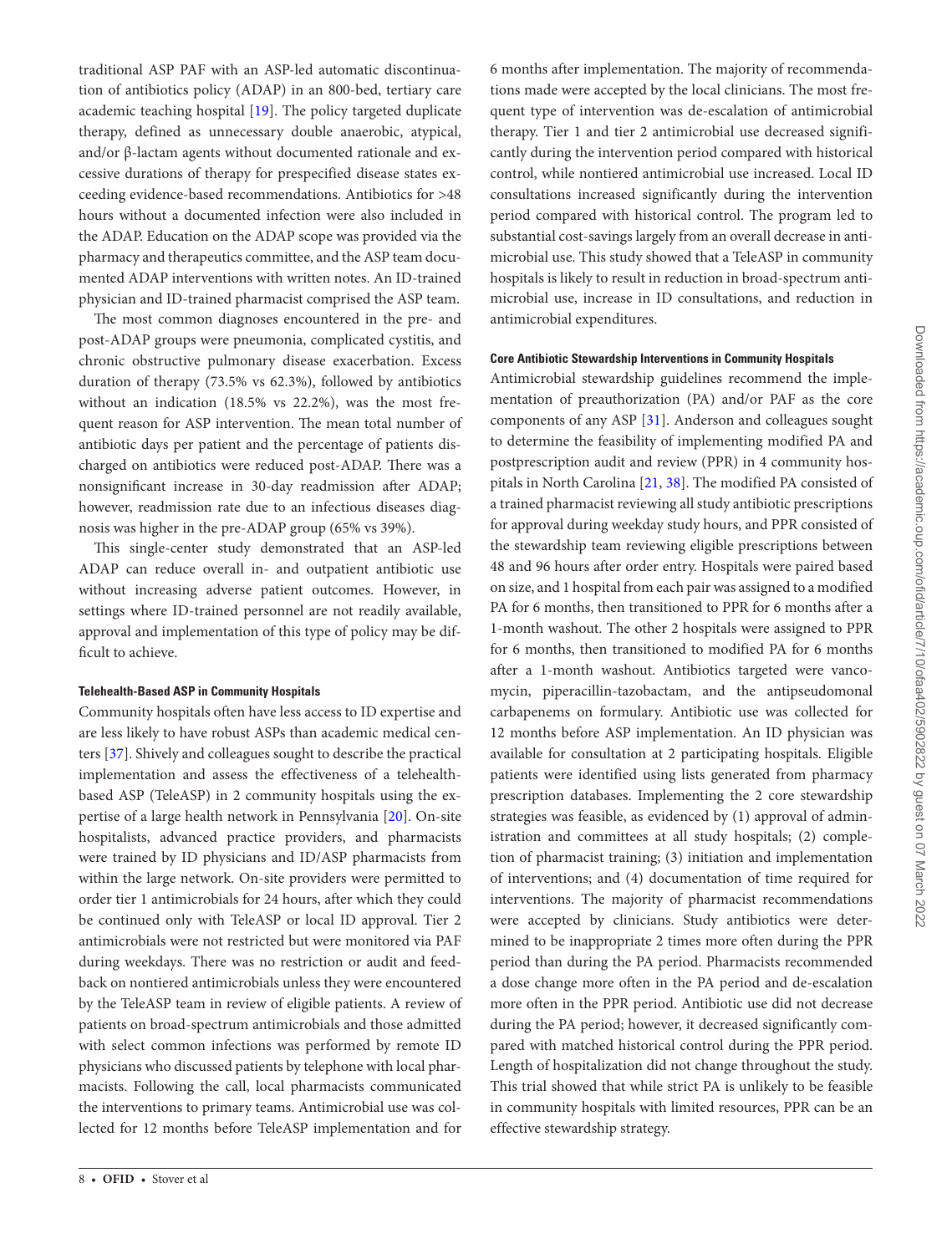traditional ASP PAF with an ASP-led automatic discontinuation of antibiotics policy (ADAP) in an 800-bed, tertiary care academic teaching hospital [[19\]](#page-11-17). The policy targeted duplicate therapy, defined as unnecessary double anaerobic, atypical, and/or β-lactam agents without documented rationale and excessive durations of therapy for prespecified disease states exceeding evidence-based recommendations. Antibiotics for >48 hours without a documented infection were also included in the ADAP. Education on the ADAP scope was provided via the pharmacy and therapeutics committee, and the ASP team documented ADAP interventions with written notes. An ID-trained physician and ID-trained pharmacist comprised the ASP team.

The most common diagnoses encountered in the pre- and post-ADAP groups were pneumonia, complicated cystitis, and chronic obstructive pulmonary disease exacerbation. Excess duration of therapy (73.5% vs 62.3%), followed by antibiotics without an indication (18.5% vs 22.2%), was the most frequent reason for ASP intervention. The mean total number of antibiotic days per patient and the percentage of patients discharged on antibiotics were reduced post-ADAP. There was a nonsignificant increase in 30-day readmission after ADAP; however, readmission rate due to an infectious diseases diagnosis was higher in the pre-ADAP group (65% vs 39%).

This single-center study demonstrated that an ASP-led ADAP can reduce overall in- and outpatient antibiotic use without increasing adverse patient outcomes. However, in settings where ID-trained personnel are not readily available, approval and implementation of this type of policy may be difficult to achieve.

#### **Telehealth-Based ASP in Community Hospitals**

Community hospitals often have less access to ID expertise and are less likely to have robust ASPs than academic medical centers [\[37](#page-12-4)]. Shively and colleagues sought to describe the practical implementation and assess the effectiveness of a telehealthbased ASP (TeleASP) in 2 community hospitals using the expertise of a large health network in Pennsylvania [\[20](#page-11-18)]. On-site hospitalists, advanced practice providers, and pharmacists were trained by ID physicians and ID/ASP pharmacists from within the large network. On-site providers were permitted to order tier 1 antimicrobials for 24 hours, after which they could be continued only with TeleASP or local ID approval. Tier 2 antimicrobials were not restricted but were monitored via PAF during weekdays. There was no restriction or audit and feedback on nontiered antimicrobials unless they were encountered by the TeleASP team in review of eligible patients. A review of patients on broad-spectrum antimicrobials and those admitted with select common infections was performed by remote ID physicians who discussed patients by telephone with local pharmacists. Following the call, local pharmacists communicated the interventions to primary teams. Antimicrobial use was collected for 12 months before TeleASP implementation and for 6 months after implementation. The majority of recommendations made were accepted by the local clinicians. The most frequent type of intervention was de-escalation of antimicrobial therapy. Tier 1 and tier 2 antimicrobial use decreased significantly during the intervention period compared with historical control, while nontiered antimicrobial use increased. Local ID consultations increased significantly during the intervention period compared with historical control. The program led to substantial cost-savings largely from an overall decrease in antimicrobial use. This study showed that a TeleASP in community hospitals is likely to result in reduction in broad-spectrum antimicrobial use, increase in ID consultations, and reduction in antimicrobial expenditures.

#### **Core Antibiotic Stewardship Interventions in Community Hospitals**

Antimicrobial stewardship guidelines recommend the implementation of preauthorization (PA) and/or PAF as the core components of any ASP [[31\]](#page-11-27). Anderson and colleagues sought to determine the feasibility of implementing modified PA and postprescription audit and review (PPR) in 4 community hospitals in North Carolina [\[21](#page-11-19), [38\]](#page-12-5). The modified PA consisted of a trained pharmacist reviewing all study antibiotic prescriptions for approval during weekday study hours, and PPR consisted of the stewardship team reviewing eligible prescriptions between 48 and 96 hours after order entry. Hospitals were paired based on size, and 1 hospital from each pair was assigned to a modified PA for 6 months, then transitioned to PPR for 6 months after a 1-month washout. The other 2 hospitals were assigned to PPR for 6 months, then transitioned to modified PA for 6 months after a 1-month washout. Antibiotics targeted were vancomycin, piperacillin-tazobactam, and the antipseudomonal carbapenems on formulary. Antibiotic use was collected for 12 months before ASP implementation. An ID physician was available for consultation at 2 participating hospitals. Eligible patients were identified using lists generated from pharmacy prescription databases. Implementing the 2 core stewardship strategies was feasible, as evidenced by (1) approval of administration and committees at all study hospitals; (2) completion of pharmacist training; (3) initiation and implementation of interventions; and (4) documentation of time required for interventions. The majority of pharmacist recommendations were accepted by clinicians. Study antibiotics were determined to be inappropriate 2 times more often during the PPR period than during the PA period. Pharmacists recommended a dose change more often in the PA period and de-escalation more often in the PPR period. Antibiotic use did not decrease during the PA period; however, it decreased significantly compared with matched historical control during the PPR period. Length of hospitalization did not change throughout the study. This trial showed that while strict PA is unlikely to be feasible in community hospitals with limited resources, PPR can be an effective stewardship strategy.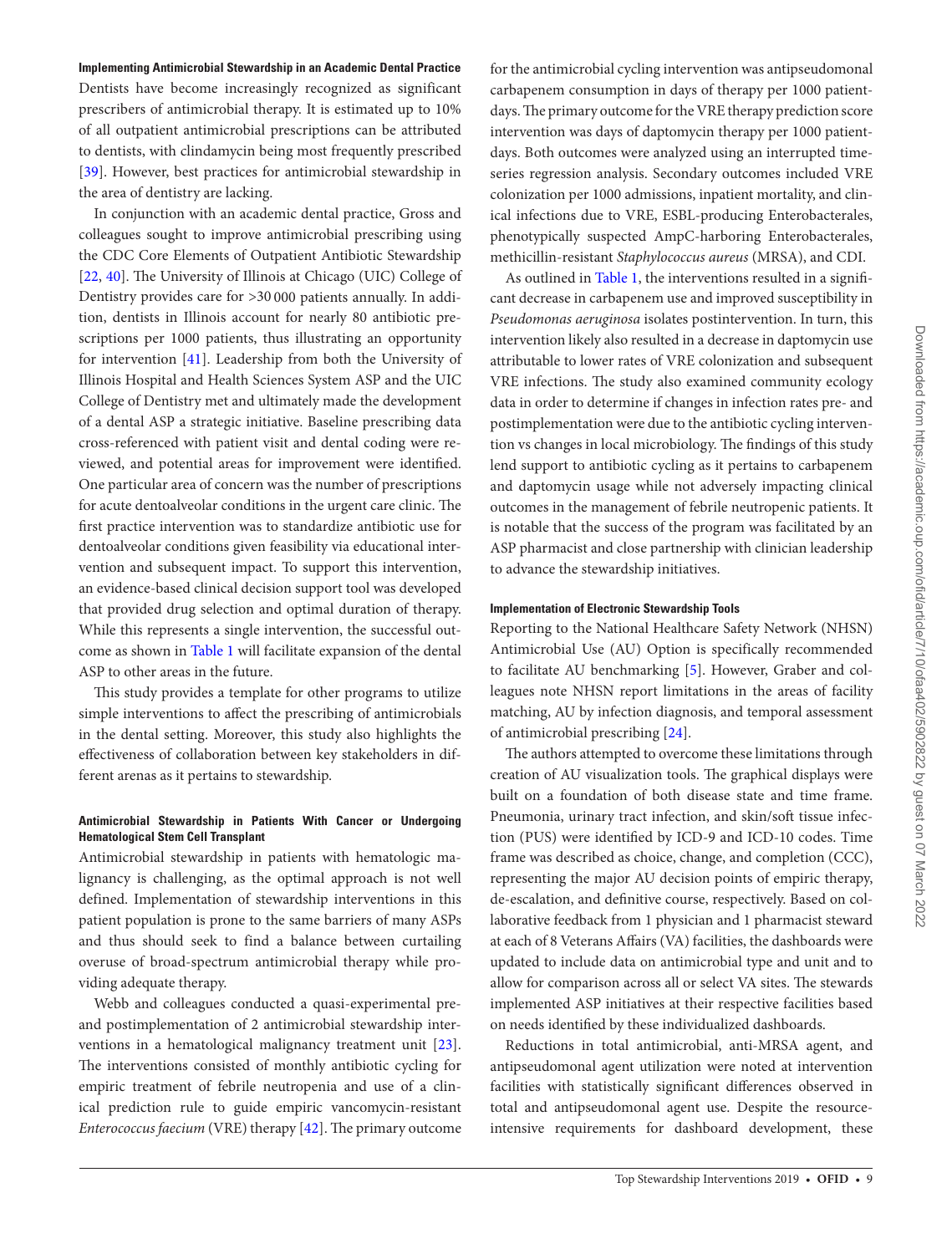#### **Implementing Antimicrobial Stewardship in an Academic Dental Practice**

Dentists have become increasingly recognized as significant prescribers of antimicrobial therapy. It is estimated up to 10% of all outpatient antimicrobial prescriptions can be attributed to dentists, with clindamycin being most frequently prescribed [\[39](#page-12-6)]. However, best practices for antimicrobial stewardship in the area of dentistry are lacking.

In conjunction with an academic dental practice, Gross and colleagues sought to improve antimicrobial prescribing using the CDC Core Elements of Outpatient Antibiotic Stewardship [\[22](#page-11-20), [40](#page-12-7)]. The University of Illinois at Chicago (UIC) College of Dentistry provides care for >30 000 patients annually. In addition, dentists in Illinois account for nearly 80 antibiotic prescriptions per 1000 patients, thus illustrating an opportunity for intervention [[41\]](#page-12-8). Leadership from both the University of Illinois Hospital and Health Sciences System ASP and the UIC College of Dentistry met and ultimately made the development of a dental ASP a strategic initiative. Baseline prescribing data cross-referenced with patient visit and dental coding were reviewed, and potential areas for improvement were identified. One particular area of concern was the number of prescriptions for acute dentoalveolar conditions in the urgent care clinic. The first practice intervention was to standardize antibiotic use for dentoalveolar conditions given feasibility via educational intervention and subsequent impact. To support this intervention, an evidence-based clinical decision support tool was developed that provided drug selection and optimal duration of therapy. While this represents a single intervention, the successful outcome as shown in [Table 1](#page-3-0) will facilitate expansion of the dental ASP to other areas in the future.

This study provides a template for other programs to utilize simple interventions to affect the prescribing of antimicrobials in the dental setting. Moreover, this study also highlights the effectiveness of collaboration between key stakeholders in different arenas as it pertains to stewardship.

#### **Antimicrobial Stewardship in Patients With Cancer or Undergoing Hematological Stem Cell Transplant**

Antimicrobial stewardship in patients with hematologic malignancy is challenging, as the optimal approach is not well defined. Implementation of stewardship interventions in this patient population is prone to the same barriers of many ASPs and thus should seek to find a balance between curtailing overuse of broad-spectrum antimicrobial therapy while providing adequate therapy.

Webb and colleagues conducted a quasi-experimental preand postimplementation of 2 antimicrobial stewardship interventions in a hematological malignancy treatment unit [\[23\]](#page-11-21). The interventions consisted of monthly antibiotic cycling for empiric treatment of febrile neutropenia and use of a clinical prediction rule to guide empiric vancomycin-resistant *Enterococcus faecium* (VRE) therapy [[42](#page-12-9)]. The primary outcome for the antimicrobial cycling intervention was antipseudomonal carbapenem consumption in days of therapy per 1000 patientdays. The primary outcome for the VRE therapy prediction score intervention was days of daptomycin therapy per 1000 patientdays. Both outcomes were analyzed using an interrupted timeseries regression analysis. Secondary outcomes included VRE colonization per 1000 admissions, inpatient mortality, and clinical infections due to VRE, ESBL-producing Enterobacterales, phenotypically suspected AmpC-harboring Enterobacterales, methicillin-resistant *Staphylococcus aureus* (MRSA), and CDI.

As outlined in [Table 1](#page-3-0), the interventions resulted in a significant decrease in carbapenem use and improved susceptibility in *Pseudomonas aeruginosa* isolates postintervention. In turn, this intervention likely also resulted in a decrease in daptomycin use attributable to lower rates of VRE colonization and subsequent VRE infections. The study also examined community ecology data in order to determine if changes in infection rates pre- and postimplementation were due to the antibiotic cycling intervention vs changes in local microbiology. The findings of this study lend support to antibiotic cycling as it pertains to carbapenem and daptomycin usage while not adversely impacting clinical outcomes in the management of febrile neutropenic patients. It is notable that the success of the program was facilitated by an ASP pharmacist and close partnership with clinician leadership to advance the stewardship initiatives.

#### **Implementation of Electronic Stewardship Tools**

Reporting to the National Healthcare Safety Network (NHSN) Antimicrobial Use (AU) Option is specifically recommended to facilitate AU benchmarking [[5](#page-11-29)]. However, Graber and colleagues note NHSN report limitations in the areas of facility matching, AU by infection diagnosis, and temporal assessment of antimicrobial prescribing [\[24](#page-11-9)].

The authors attempted to overcome these limitations through creation of AU visualization tools. The graphical displays were built on a foundation of both disease state and time frame. Pneumonia, urinary tract infection, and skin/soft tissue infection (PUS) were identified by ICD-9 and ICD-10 codes. Time frame was described as choice, change, and completion (CCC), representing the major AU decision points of empiric therapy, de-escalation, and definitive course, respectively. Based on collaborative feedback from 1 physician and 1 pharmacist steward at each of 8 Veterans Affairs (VA) facilities, the dashboards were updated to include data on antimicrobial type and unit and to allow for comparison across all or select VA sites. The stewards implemented ASP initiatives at their respective facilities based on needs identified by these individualized dashboards.

Reductions in total antimicrobial, anti-MRSA agent, and antipseudomonal agent utilization were noted at intervention facilities with statistically significant differences observed in total and antipseudomonal agent use. Despite the resourceintensive requirements for dashboard development, these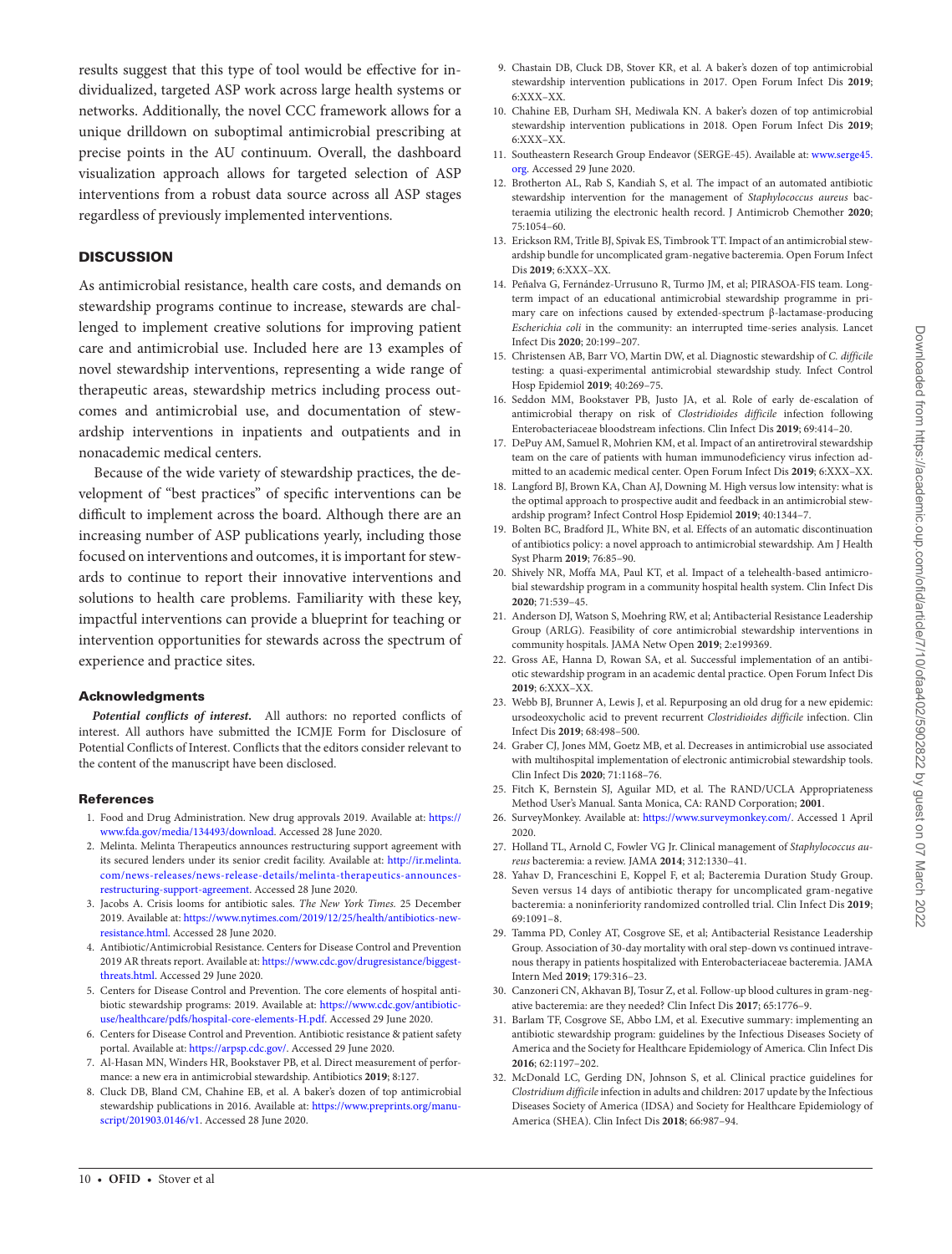results suggest that this type of tool would be effective for individualized, targeted ASP work across large health systems or networks. Additionally, the novel CCC framework allows for a unique drilldown on suboptimal antimicrobial prescribing at precise points in the AU continuum. Overall, the dashboard visualization approach allows for targeted selection of ASP interventions from a robust data source across all ASP stages regardless of previously implemented interventions.

#### **DISCUSSION**

As antimicrobial resistance, health care costs, and demands on stewardship programs continue to increase, stewards are challenged to implement creative solutions for improving patient care and antimicrobial use. Included here are 13 examples of novel stewardship interventions, representing a wide range of therapeutic areas, stewardship metrics including process outcomes and antimicrobial use, and documentation of stewardship interventions in inpatients and outpatients and in nonacademic medical centers.

Because of the wide variety of stewardship practices, the development of "best practices" of specific interventions can be difficult to implement across the board. Although there are an increasing number of ASP publications yearly, including those focused on interventions and outcomes, it is important for stewards to continue to report their innovative interventions and solutions to health care problems. Familiarity with these key, impactful interventions can provide a blueprint for teaching or intervention opportunities for stewards across the spectrum of experience and practice sites.

#### Acknowledgments

*Potential conflicts of interest.* All authors: no reported conflicts of interest. All authors have submitted the ICMJE Form for Disclosure of Potential Conflicts of Interest. Conflicts that the editors consider relevant to the content of the manuscript have been disclosed.

#### References

- <span id="page-11-0"></span>1. Food and Drug Administration. New drug approvals 2019. Available at: [https://](https://www.fda.gov/media/134493/download) [www.fda.gov/media/134493/download.](https://www.fda.gov/media/134493/download) Accessed 28 June 2020.
- <span id="page-11-1"></span>2. Melinta. Melinta Therapeutics announces restructuring support agreement with its secured lenders under its senior credit facility. Available at: [http://ir.melinta.](http://ir.melinta.com/news-releases/news-release-details/melinta-therapeutics-announces-restructuring-support-agreement) [com/news-releases/news-release-details/melinta-therapeutics-announces](http://ir.melinta.com/news-releases/news-release-details/melinta-therapeutics-announces-restructuring-support-agreement)[restructuring-support-agreement.](http://ir.melinta.com/news-releases/news-release-details/melinta-therapeutics-announces-restructuring-support-agreement) Accessed 28 June 2020.
- <span id="page-11-2"></span>3. Jacobs A. Crisis looms for antibiotic sales. *The New York Times.* 25 December 2019. Available at: [https://www.nytimes.com/2019/12/25/health/antibiotics-new](https://www.nytimes.com/2019/12/25/health/antibiotics-new-resistance.html)[resistance.html.](https://www.nytimes.com/2019/12/25/health/antibiotics-new-resistance.html) Accessed 28 June 2020.
- <span id="page-11-3"></span>4. Antibiotic/Antimicrobial Resistance. Centers for Disease Control and Prevention 2019 AR threats report. Available at: [https://www.cdc.gov/drugresistance/biggest](https://www.cdc.gov/drugresistance/biggest-threats.html)[threats.html.](https://www.cdc.gov/drugresistance/biggest-threats.html) Accessed 29 June 2020.
- <span id="page-11-29"></span>5. Centers for Disease Control and Prevention. The core elements of hospital antibiotic stewardship programs: 2019. Available at: [https://www.cdc.gov/antibiotic](https://www.cdc.gov/antibiotic-use/healthcare/pdfs/hospital-core-elements-H.pdf)[use/healthcare/pdfs/hospital-core-elements-H.pdf.](https://www.cdc.gov/antibiotic-use/healthcare/pdfs/hospital-core-elements-H.pdf) Accessed 29 June 2020.
- <span id="page-11-4"></span>6. Centers for Disease Control and Prevention. Antibiotic resistance & patient safety portal. Available at: [https://arpsp.cdc.gov/.](https://arpsp.cdc.gov/) Accessed 29 June 2020.
- <span id="page-11-5"></span>7. Al-Hasan MN, Winders HR, Bookstaver PB, et al. Direct measurement of performance: a new era in antimicrobial stewardship. Antibiotics **2019**; 8:127.
- <span id="page-11-6"></span>8. Cluck DB, Bland CM, Chahine EB, et al. A baker's dozen of top antimicrobial stewardship publications in 2016. Available at: [https://www.preprints.org/manu](https://www.preprints.org/manuscript/201903.0146/v1)[script/201903.0146/v1.](https://www.preprints.org/manuscript/201903.0146/v1) Accessed 28 June 2020.
- 9. Chastain DB, Cluck DB, Stover KR, et al. A baker's dozen of top antimicrobial stewardship intervention publications in 2017. Open Forum Infect Dis **2019**; 6:XXX–XX.
- 10. Chahine EB, Durham SH, Mediwala KN. A baker's dozen of top antimicrobial stewardship intervention publications in 2018. Open Forum Infect Dis **2019**; 6:XXX–XX.
- <span id="page-11-7"></span>11. Southeastern Research Group Endeavor (SERGE-45). Available at: [www.serge45.](http://www.serge45.org) [org.](http://www.serge45.org) Accessed 29 June 2020.
- <span id="page-11-8"></span>12. Brotherton AL, Rab S, Kandiah S, et al. The impact of an automated antibiotic stewardship intervention for the management of *Staphylococcus aureus* bacteraemia utilizing the electronic health record. J Antimicrob Chemother **2020**; 75:1054–60.
- <span id="page-11-11"></span>13. Erickson RM, Tritle BJ, Spivak ES, Timbrook TT. Impact of an antimicrobial stewardship bundle for uncomplicated gram-negative bacteremia. Open Forum Infect Dis **2019**; 6:XXX–XX.
- <span id="page-11-12"></span>14. Peñalva G, Fernández-Urrusuno R, Turmo JM, et al; PIRASOA-FIS team. Longterm impact of an educational antimicrobial stewardship programme in primary care on infections caused by extended-spectrum β-lactamase-producing *Escherichia coli* in the community: an interrupted time-series analysis. Lancet Infect Dis **2020**; 20:199–207.
- <span id="page-11-13"></span>15. Christensen AB, Barr VO, Martin DW, et al. Diagnostic stewardship of *C. difficile* testing: a quasi-experimental antimicrobial stewardship study. Infect Control Hosp Epidemiol **2019**; 40:269–75.
- <span id="page-11-14"></span>16. Seddon MM, Bookstaver PB, Justo JA, et al. Role of early de-escalation of antimicrobial therapy on risk of *Clostridioides difficile* infection following Enterobacteriaceae bloodstream infections. Clin Infect Dis **2019**; 69:414–20.
- <span id="page-11-15"></span>17. DePuy AM, Samuel R, Mohrien KM, et al. Impact of an antiretroviral stewardship team on the care of patients with human immunodeficiency virus infection admitted to an academic medical center. Open Forum Infect Dis **2019**; 6:XXX–XX.
- <span id="page-11-16"></span>18. Langford BJ, Brown KA, Chan AJ, Downing M. High versus low intensity: what is the optimal approach to prospective audit and feedback in an antimicrobial stewardship program? Infect Control Hosp Epidemiol **2019**; 40:1344–7.
- <span id="page-11-17"></span>19. Bolten BC, Bradford JL, White BN, et al. Effects of an automatic discontinuation of antibiotics policy: a novel approach to antimicrobial stewardship. Am J Health Syst Pharm **2019**; 76:85–90.
- <span id="page-11-18"></span>20. Shively NR, Moffa MA, Paul KT, et al. Impact of a telehealth-based antimicrobial stewardship program in a community hospital health system. Clin Infect Dis **2020**; 71:539–45.
- <span id="page-11-19"></span>21. Anderson DJ, Watson S, Moehring RW, et al; Antibacterial Resistance Leadership Group (ARLG). Feasibility of core antimicrobial stewardship interventions in community hospitals. JAMA Netw Open **2019**; 2:e199369.
- <span id="page-11-20"></span>22. Gross AE, Hanna D, Rowan SA, et al. Successful implementation of an antibiotic stewardship program in an academic dental practice. Open Forum Infect Dis **2019**; 6:XXX–XX.
- <span id="page-11-21"></span>23. Webb BJ, Brunner A, Lewis J, et al. Repurposing an old drug for a new epidemic: ursodeoxycholic acid to prevent recurrent *Clostridioides difficile* infection. Clin Infect Dis **2019**; 68:498–500.
- <span id="page-11-9"></span>24. Graber CJ, Jones MM, Goetz MB, et al. Decreases in antimicrobial use associated with multihospital implementation of electronic antimicrobial stewardship tools. Clin Infect Dis **2020**; 71:1168–76.
- <span id="page-11-10"></span>25. Fitch K, Bernstein SJ, Aguilar MD, et al. The RAND/UCLA Appropriateness Method User's Manual. Santa Monica, CA: RAND Corporation; **2001**.
- <span id="page-11-22"></span>26. SurveyMonkey. Available at: [https://www.surveymonkey.com/.](https://www.surveymonkey.com/) Accessed 1 April 2020.
- <span id="page-11-23"></span>27. Holland TL, Arnold C, Fowler VG Jr. Clinical management of *Staphylococcus aureus* bacteremia: a review. JAMA **2014**; 312:1330–41.
- <span id="page-11-24"></span>28. Yahav D, Franceschini E, Koppel F, et al; Bacteremia Duration Study Group. Seven versus 14 days of antibiotic therapy for uncomplicated gram-negative bacteremia: a noninferiority randomized controlled trial. Clin Infect Dis **2019**; 69:1091–8.
- <span id="page-11-25"></span>29. Tamma PD, Conley AT, Cosgrove SE, et al; Antibacterial Resistance Leadership Group. Association of 30-day mortality with oral step-down vs continued intravenous therapy in patients hospitalized with Enterobacteriaceae bacteremia. JAMA Intern Med **2019**; 179:316–23.
- <span id="page-11-26"></span>30. Canzoneri CN, Akhavan BJ, Tosur Z, et al. Follow-up blood cultures in gram-negative bacteremia: are they needed? Clin Infect Dis **2017**; 65:1776–9.
- <span id="page-11-27"></span>31. Barlam TF, Cosgrove SE, Abbo LM, et al. Executive summary: implementing an antibiotic stewardship program: guidelines by the Infectious Diseases Society of America and the Society for Healthcare Epidemiology of America. Clin Infect Dis **2016**; 62:1197–202.
- <span id="page-11-28"></span>32. McDonald LC, Gerding DN, Johnson S, et al. Clinical practice guidelines for *Clostridium difficile* infection in adults and children: 2017 update by the Infectious Diseases Society of America (IDSA) and Society for Healthcare Epidemiology of America (SHEA). Clin Infect Dis **2018**; 66:987–94.